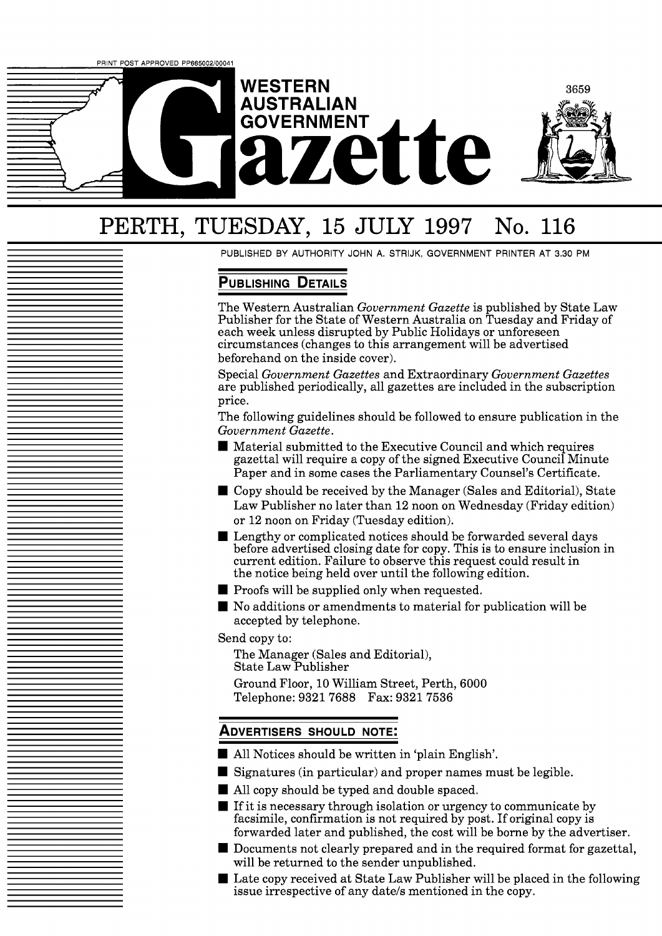

# PERTH, TUESDAY, 15 JULY 1997 No. 116

PUBLISHED BY AUTHORITY JOHN A. STRIJK, GOVERNMENT PRINTER AT 3.30 PM

## **PUBLISHING DETAILS**

The Western Australian *Government Gazette* is published by State Law Publisher for the State of Western Australia on Tuesday and Friday of each week unless disrupted by Public Holidays or unforeseen circumstances (changes to this arrangement will be advertised beforehand on the inside cover).

Special *Government Gazettes* and Extraordinary *Government Gazettes*  are published periodically, all gazettes are included in the subscription price.

The following guidelines should be followed to ensure publication in the *Government Gazette.* 

- Material submitted to the Executive Council and which requires gazettal will require a copy of the signed Executive Council Minute Paper and in some cases the Parliamentary Counsel's Certificate.
- Copy should be received by the Manager (Sales and Editorial), State Law Publisher no later than 12 noon on Wednesday (Friday edition) or 12 noon on Friday (Tuesday edition).
- Lengthy or complicated notices should be forwarded several days before advertised closing date for copy. This is to ensure inclusion in current edition. Failure to observe this request could result in the notice being held over until the following edition.
- **Proofs will be supplied only when requested.**
- No additions or amendments to material for publication will be accepted by telephone.

Send copy to:

The Manager (Sales and Editorial), State Law Publisher

Ground Floor, 10 William Street, Perth, 6000 Telephone: 9321 7688 Fax: 9321 7536

## **ADVERTISERS SHOULD NOTE:**

- All Notices should be written in 'plain English'.
- Signatures (in particular) and proper names must be legible.
- All copy should be typed and double spaced.
- $\blacksquare$  If it is necessary through isolation or urgency to communicate by facsimile, confirmation is not required by post. If original copy is forwarded later and published, the cost will be borne by the advertiser.
- Documents not clearly prepared and in the required format for gazettal, will be returned to the sender unpublished.
- Late copy received at State Law Publisher will be placed in the following issue irrespective of any date/s mentioned in the copy.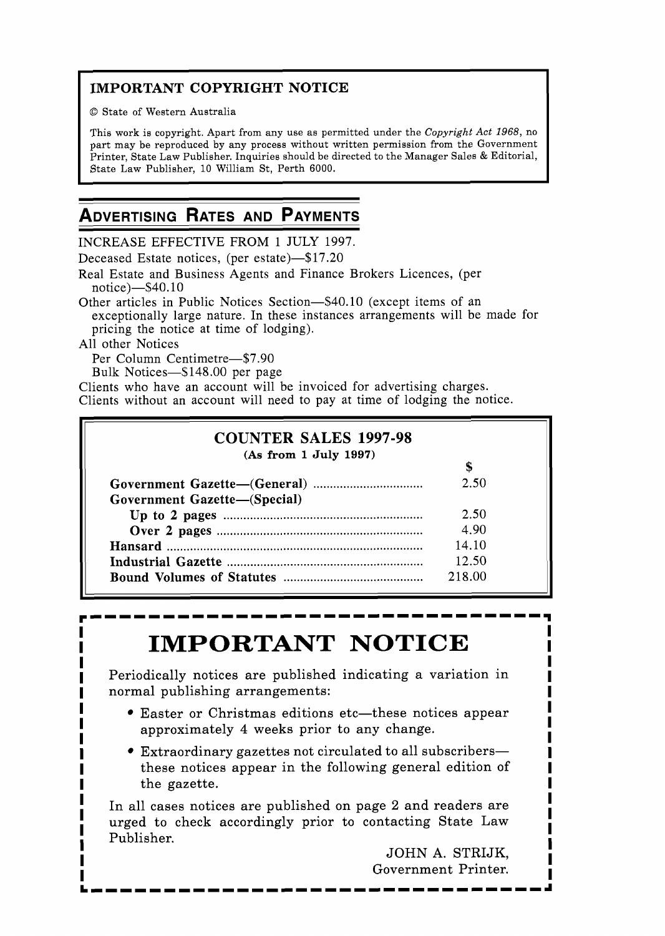## **IMPORTANT COPYRIGHT NOTICE**

O State of Western Australia

This work is copyright. Apart from any use as permitted under the Copyright *Act* 1968, no part may be reproduced by any process without written permission from the Government Printer, State Law Publisher. Inquiries should be directed to the Manager Sales & Editorial, State Law Publisher, 10 William St, Perth 6000.

## **ADVERTISING RATES AND PAYMENTS**

INCREASE EFFECTIVE FROM 1 JULY 1997.

Deceased Estate notices, (per estate)-\$17.20

Real Estate and Business Agents and Finance Brokers Licences, (per notice) $-$ \$40.10

Other articles in Public Notices Section-\$40.10 (except items of an exceptionally large nature. In these instances arrangements will be made for pricing the notice at time of lodging).

All other Notices

Per Column Centimetre-\$7.90

Bulk Notices-\$148.00 per page

Clients who have an account will be invoiced for advertising charges.

Clients without an account will need to pay at time of lodging the notice.

| (As from 1 July 1997)        |        |
|------------------------------|--------|
|                              | S      |
|                              | 2.50   |
| Government Gazette-(Special) |        |
|                              | 2.50   |
|                              | 4.90   |
|                              | 14.10  |
|                              | 12.50  |
|                              | 218.00 |

# **IMPORTANT NOTICE**

Periodically notices are published indicating a variation in normal publishing arrangements:

- Easter or Christmas editions etc—these notices appear approximately 4 weeks prior to any change.
- Extraordinary gazettes not circulated to all subscribersthese notices appear in the following general edition of the gazette.

In all cases notices are published on page 2 and readers are urged to check accordingly prior to contacting State Law Publisher.

JOHN **A.** STRIJK, Government Printer.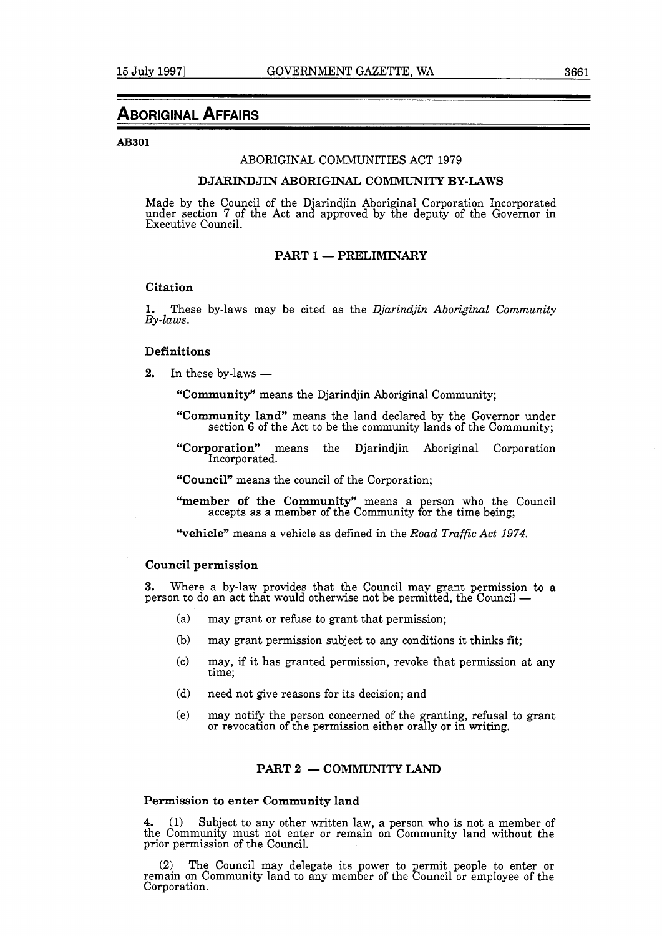## **ABORIGINAL AFFAIRS**

#### **AB301**

## ABORIGINAL COMMUNITIES ACT 1979

## **DJARINDJIN ABORIGINAL COMMUNITY BY-LAWS**

Made by the Council of the D'arindjin Aboriginal Corporation Incorporated under section 7 of the Act and approved by the deputy of the Governor in Executive Council.

## **PART 1 - PRELIMINARY**

## **Citation**

**1.** These by-laws may be cited as the *Djarindjin Aboriginal Community By-laws.* 

## **Definitions**

2. In these by-laws  $-$ 

**"Community"** means the Djarindjin Aboriginal Community;

- **"Community land"** means the land declared by the Governor under section 6 of the Act to be the community lands of the Community;
- **"Corporation"** means the Djarindjin Aboriginal Corporation Incorporated.

**"Council"** mems the council of the Corporation;

"member of the Community" means a person who the Council accepts as a member of the Community for the time being;

**"vehicle"** means a vehicle as defined in the *Road Traffic Act 1974.* 

## **Council permission**

**3.** Where a by-law provides that the Council may grant permission to a Souhon permission<br>3. Where a by-law provides that the Council may grant permission to<br>person to do an act that would otherwise not be permitted, the Council —

- (a) may grant or refuse to grant that permission;
- (b) may grant permission subject to any conditions it thinks fit;
- (c) may, if it has granted permission, revoke that permission at any time;
- (d) need not give reasons for its decision; and
- (el may notify the person concerned of the granting, refusal to grant or revocation of the permission either orally or in writing.

## **PART 2 - COMMUNITY LAND**

## **Permission to enter Community land**

**4.** (1) Subject to any other written law, a person who is not a member of the Community must not enter or remain on Community land without the prior permission of the Council.

(2) The Council may delegate its power to permit people to enter or remain on Community land to any member of the Council or employee of the Corporation.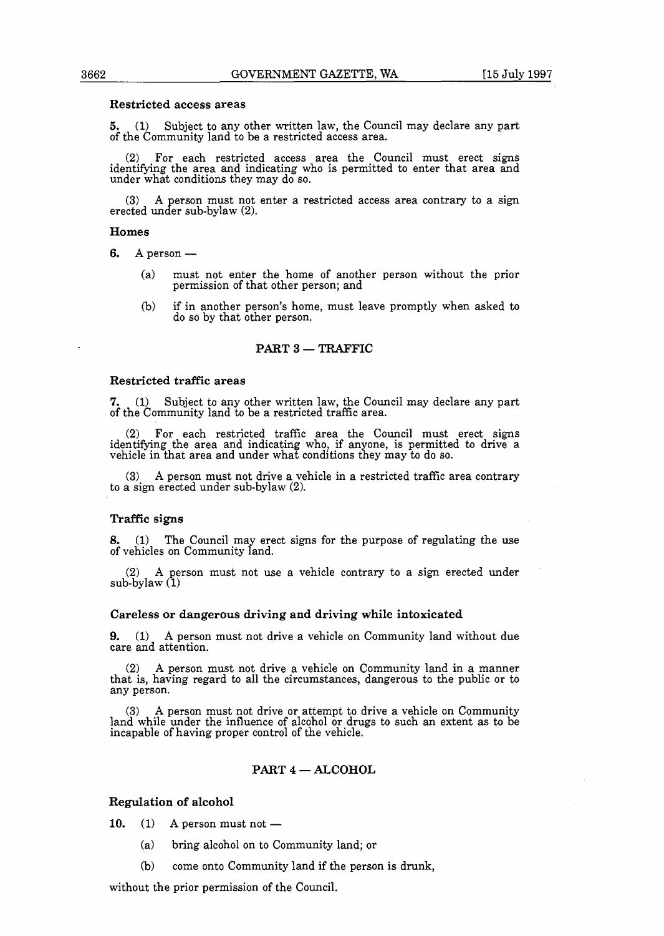#### Restricted access areas

5. (1) Subject to any other written law, the Council may declare any part of the Community land to be a restricted access area.

(2) For each restricted access area the Council must erect signs identifying the area and indicating who is permitted to enter that area and under what conditions they may do so.

(3) A person must not enter a restricted access area contrary to a sign erected under sub-bylaw  $(2)$ .

#### Homes

- 6. **A** person
	- (a) must not enter the home of another person without the prior permission of that other person; and
	- (b) if in another person's home, must leave promptly when asked to do so by that other person.

## PART 3 - TRAFFIC

#### Restricted traffic areas

**7.** (1) Subject to any other written law, the Council may declare any part of the Community land to be a restricted traffic area.

(2) For each restricted traffic area the Council must erect signs identifying the area and indicating who, if an one, is permitted to drive a vehicle in that area and under what conditions they may to do so.

(3) **A** person must not drive a vehicle in a restricted traffic area contrary to a sign erected under sub-bylaw **(2).** 

#### Traffic signs

**8. (1)** The Council may erect signs for the purpose of regulating the use of vehicles on Community land.

(2) **A** person must not use a vehicle contrary to a sign erected under sub-bylaw (1)

### Careless or dangerous driving and driving while intoxicated

**9.** (1) **A** person must not drive a vehicle on Community land without due care and attention.

(2) **A** person must not drive a vehicle on Community land in a manner that is, having regard to all the circumstances, dangerous to the public or to any person.

(3) **<sup>A</sup>**person must not drive or attempt to drive a vehicle on Community land while under the influence of alcohol or drugs to such an extent as to be incapable of having proper control of the vehicle.

## PART  $4 - ALCOHOL$

**Regulation of alcohol**<br>**10.** (1) A person must not -

- (a) bring alcohol on to Community land; or
- (b) come onto Community land if the person is drunk,

without the prior permission of the Council.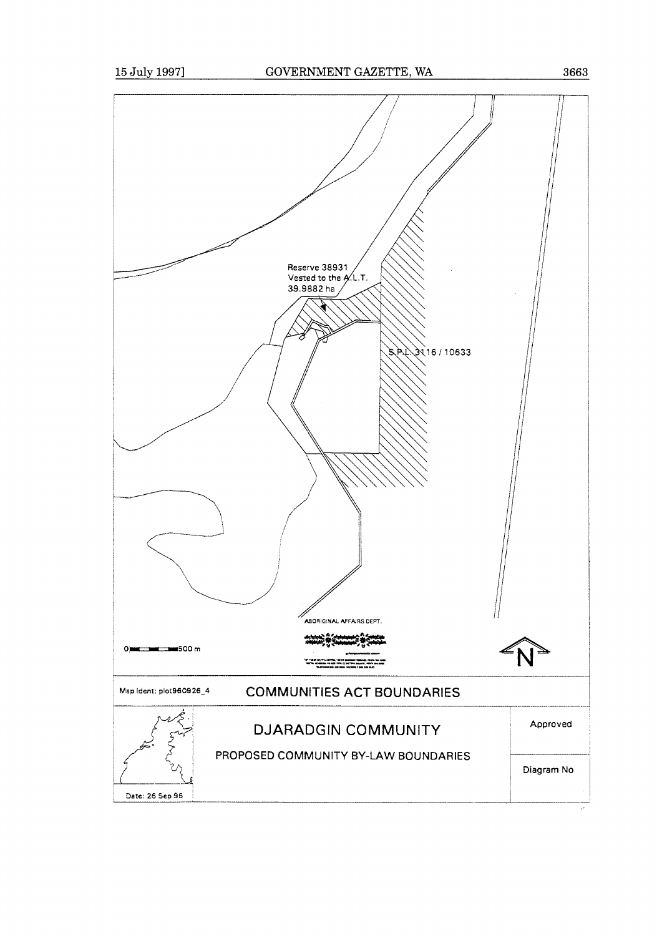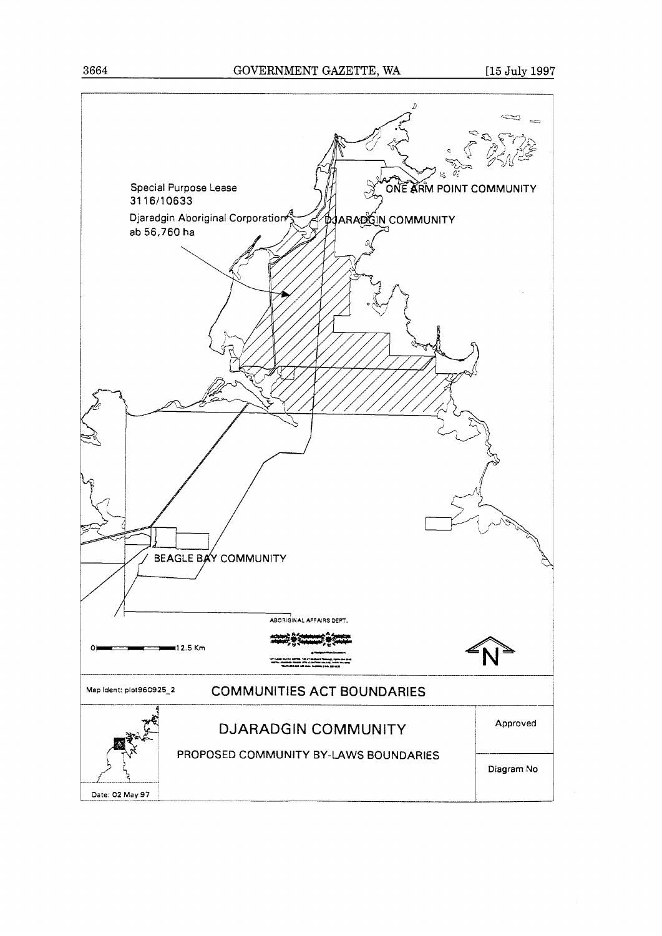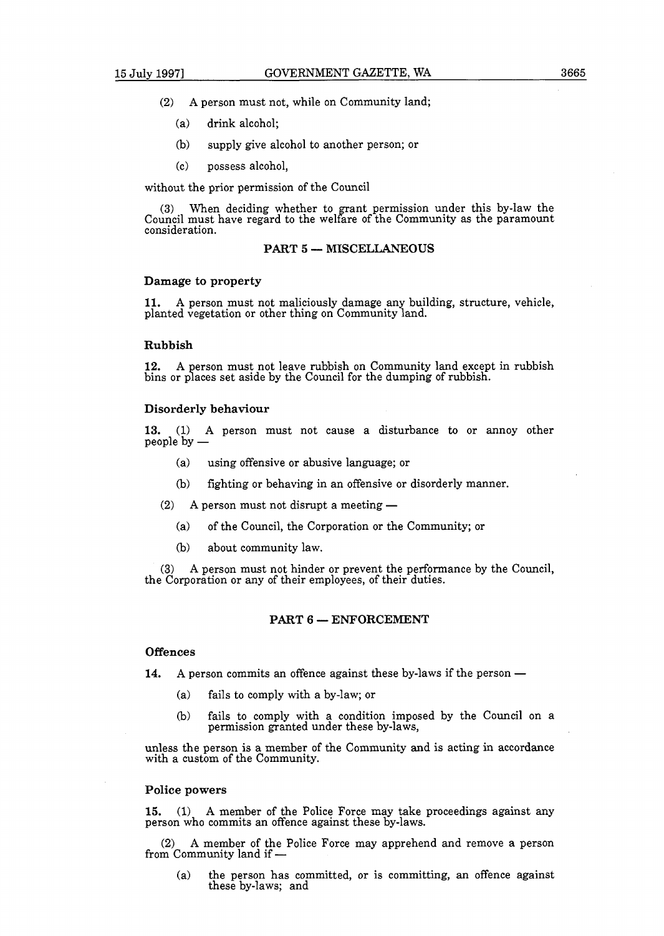- (2) **A** person must not, while on Community land;
	- (a) drink alcohol;
	- (b) supply give alcohol to another person; or
	- (c) possess alcohol,

without the prior permission of the Council

(3) When deciding whether to grant permission under this by-law the Council must have regard to the welfare of the Community as the paramount consideration.

## **PART 5** - **MISCELLANEOUS**

#### **Damage to property**

**11. A** person must not maliciously damage any building, structure, vehicle, planted vegetation or other thing on Community land.

#### **Rubbish**

**12. A** erson must not leave rubbish on Community land except in rubbish bins or places set aside by the Council for the dumping of rubbish.

#### **Disorderly behaviour**

**13.** (1) **A** person must not cause a disturbance to or annoy other people by -

- (a) using offensive or abusive language; or
- (b) fighting or behaving in an offensive or disorderly manner.
- $(2)$  A person must not disrupt a meeting  $-$ 
	- (a) of the Council, the Corporation or the Community; or
	- (b) about community law.

**(3) A** person must not hinder or prevent the performance by the Council, the Corporation or any of their employees, of their duties.

### **PART 6 - ENFORCEMENT**

#### **Offences**

**14.** A person commits an offence against these by-laws if the person —

- (a) fails to comply with a by-law; or
- (b) fails to comply with a condition imposed by the Council on a permission granted under these by-laws,

unless the person is a member of the Community and is acting in accordance with a custom of the Community.

## **Police powers**

**15. (1) A** member of the Police Force may take proceedings against any person who commits an offence against these by-laws.

(2) A member of the Police Force may apprehend and remove a person from Community land if  $\text{---}$ 

(a) the person has committed, or is committing, an offence against these by-laws; and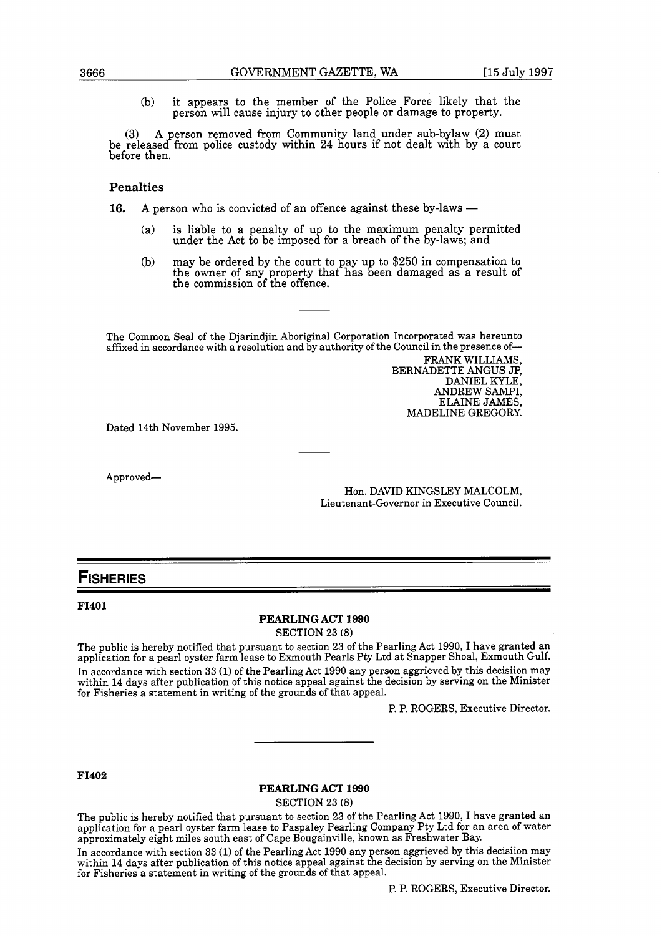(b) it appears to the member of the Police Force likely that the person will cause injury to other people or damage to property.

(3) A person removed from Community land under sub-bylaw (2) must be released from police custody within 24 hours if not dealt with by a court before then.

## Penalties

**16.** A person who is convicted of an offence against these by-laws —

- (a) is liable to a penalty of up to the maximum penalty permitted under the Act to be imposed for a breach of the by-laws; and
- (b) may be ordered by the court to pay up to  $$250$  in compensation to the commission of the offence. the owner of any property that has been damaged as a result of

The Common Seal of the Djarindjin Aboriginal Corporation Incorporated was hereunto affixed in accordance with a resolution and by authority of the Council in the presence of-

> FRANK WILLIAMS, BERNADETTE ANGUS *JF',*  DANIEL KYLE, ANDREW SAMPI, ELAINE JAMES, MADELINE GREGORY.

Dated 14th November 1995.

Approved-

Hon. DAVID KINGSLEY MALCOLM, Lieutenant-Governor in Executive Council.

## **FISHERIES**

#### **FI401**

### **PEARLING ACT 1990**

SECTION **23** (8)

The public is hereby notified that pursuant to section **23** of the Pearling Act 1990, I have granted an application for a pearl oyster farm lease to Exmouth Pearls Pty Ltd at Snapper Shoal, Exmouth Gulf. In accordance with section **33** (1) of the Pearling Act 1990 any person aggrieved by this decisiion may within 14 days after publication of this notice appeal against the decision by serving on the Minister for Fisheries a statement in writing of the grounds of that appeal.

P. P. ROGERS, Executive Director.

### **FI402**

## **PEARLING ACT 1990**

SECTION **23** (8)

The public is hereby notified that pursuant to section **23** of the Pearling Act 1990, I have granted an application for a pearl oyster farm lease to Paspaley Pearling Company Pty Ltd for an area of water approximately eight miles south east of Cape Bougainville, known as Freshwater Bay.

In accordance with section **33** (1) of the Pearling Act 1990 any person aggrieved by this decisiion may within 14 days after publication of this notice appeal against the decision by serving on the Minister for Fisheries a statement in writing of the grounds of that appeal.

P. P. ROGERS, Executive Director.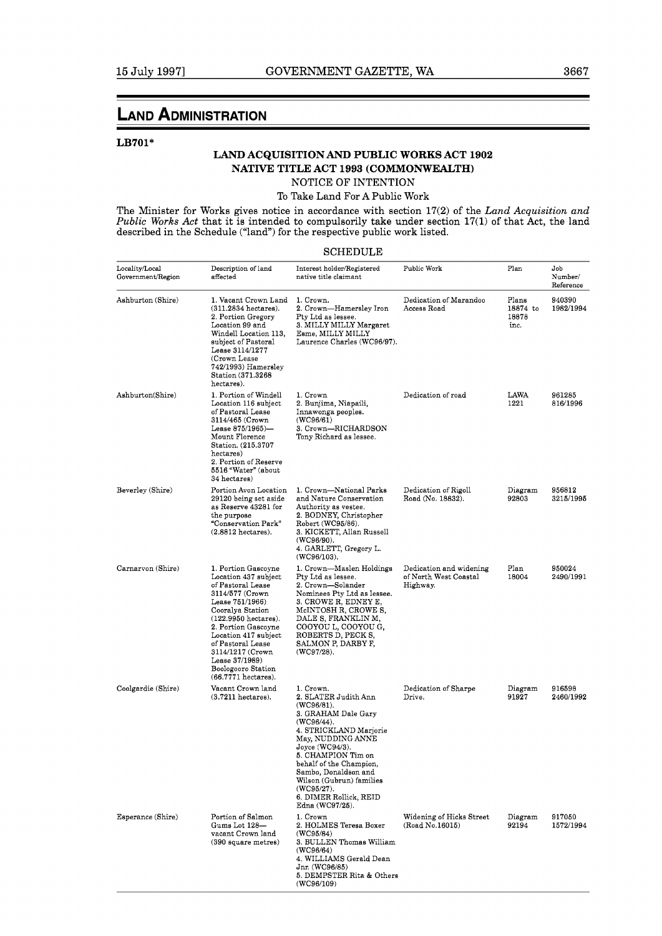## **LAND ADMINISTRATION**

## **LB701\***

## **LAND ACQUISITION AND PUBLIC WORKS ACT 1902 NATIVE TITLE ACT 1993 (COMMONWEALTH)**

NOTICE OF INTENTION

## To Take Land For **A** Public Work

The Minister for Works gives notice in accordance with section **17(2)** of the *Land Acquisition and Public Works Act* that it is intended to compulsorily take under section 17(1) of that Act, the land described in the Schedule ("land") for the respective public work listed.

## SCHEDULE

| Locality/Local<br>Government/Region | Description of land<br>affected                                                                                                                                                                                                                                                                           | Interest holder/Registered<br>native title claimant                                                                                                                                                                                                                                                                    | Public Work                                                  | Plan                               | Job<br>Number/<br>Reference |
|-------------------------------------|-----------------------------------------------------------------------------------------------------------------------------------------------------------------------------------------------------------------------------------------------------------------------------------------------------------|------------------------------------------------------------------------------------------------------------------------------------------------------------------------------------------------------------------------------------------------------------------------------------------------------------------------|--------------------------------------------------------------|------------------------------------|-----------------------------|
| Ashburton (Shire)                   | 1. Vacant Crown Land<br>$(311.2834$ hectares).<br>2. Portion Gregory<br>Location 99 and<br>Windell Location 113,<br>subject of Pastoral<br>Lease 3114/1277<br>(Crown Lease<br>742/1993) Hamersley<br>Station (371.3268<br>hectares).                                                                      | 1. Crown.<br>2. Crown—Hamersley Iron<br>Pty Ltd as lessee.<br>3. MILLY MILLY Margaret<br>Esme, MILLY MILLY<br>Laurence Charles (WC96/97).                                                                                                                                                                              | Dedication of Marandoo<br>Access Road                        | Plans<br>18874 to<br>18878<br>inc. | 940390<br>1982/1994         |
| Ashburton(Shire)                    | 1. Portion of Windell<br>Location 116 subject<br>of Pastoral Lease<br>3114/465 (Crown<br>Lease 875/1965)-<br>Mount Florence<br>Station (215.3707<br>hectares)<br>2. Portion of Reserve<br>5516 "Water" (about<br>34 hectares)                                                                             | 1. Crown<br>2. Bunjima, Niapaili,<br>Innawonga peoples.<br>(WC96/61)<br>3. Crown-RICHARDSON<br>Tony Richard as lessee.                                                                                                                                                                                                 | Dedication of road                                           | LAWA<br>1221                       | 961285<br>816/1996          |
| Beverley (Shire)                    | Portion Avon Location<br>29120 being set aside<br>as Reserve 43281 for<br>the purpose<br>"Conservation Park"<br>$(2.8812)$ hectares).                                                                                                                                                                     | 1. Crown—National Parks<br>and Nature Conservation<br>Authority as vestee.<br>2. BODNEY, Christopher<br>Robert (WC95/86).<br>3. KICKETT, Allan Russell<br>$(WC96/90)$ .<br>4. GARLETT, Gregory L.<br>(WC96/103).                                                                                                       | Dedication of Rigoll<br>Road (No. 18832).                    | Diagram<br>92803                   | 956812<br>3215/1995         |
| Carnarvon (Shire)                   | 1. Portion Gascoyne<br>Location 437 subject<br>of Pastoral Lease<br>3114/577 (Crown<br>Lease 751/1966)<br>Cooralya Station<br>(122.9950 hectares).<br>2. Portion Gascoyne<br>Location 417 subject<br>of Pastoral Lease<br>3114/1217 (Crown<br>Lease 37/1989)<br>Boologooro Station<br>(66.7771 hectares). | 1. Crown-Maslen Holdings<br>Pty Ltd as lessee.<br>2. Crown-Solander<br>Nominees Pty Ltd as lessee.<br>3. CROWE R, EDNEY E,<br>McINTOSH R, CROWE S,<br>DALE S, FRANKLIN M,<br>COOYOU L, COOYOU G,<br>ROBERTS D, PECK S,<br>SALMON P, DARBY F,<br>(WC97/28).                                                             | Dedication and widening<br>of North West Coastal<br>Highway. | Plan<br>18004                      | 950024<br>2490/1991         |
| Coolgardie (Shire)                  | Vacant Crown land<br>$(3.7211)$ hectares).                                                                                                                                                                                                                                                                | 1. Crown.<br>2. SLATER Judith Ann<br>(WC96/81).<br>3. GRAHAM Dale Gary<br>(WC96/44).<br>4. STRICKLAND Marjorie<br>May, NUDDING ANNE<br>Joyce (WC94/3).<br>5. CHAMPION Tim on<br>behalf of the Champion,<br>Sambo, Donaldson and<br>Wilson (Gubrun) families<br>(WC95/27).<br>6. DIMER Rollick, REID<br>Edna (WC97/25). | Dedication of Sharpe<br>Drive.                               | Diagram<br>91927                   | 916598<br>2460/1992         |
| Esperance (Shire)                   | Portion of Salmon<br>Gums Lot 128-<br>vacant Crown land<br>(390 square metres)                                                                                                                                                                                                                            | 1. Crown<br>2. HOLMES Teresa Boxer<br>(WC95/84)<br>3. BULLEN Thomas William<br>(WC96/64)<br>4. WILLIAMS Gerald Dean<br>Jnr. (WC96/85)<br>5. DEMPSTER Rita & Others<br>(WC96/109)                                                                                                                                       | Widening of Hicks Street<br>(Road No. 16015)                 | Diagram<br>92194                   | 917050<br>1572/1994         |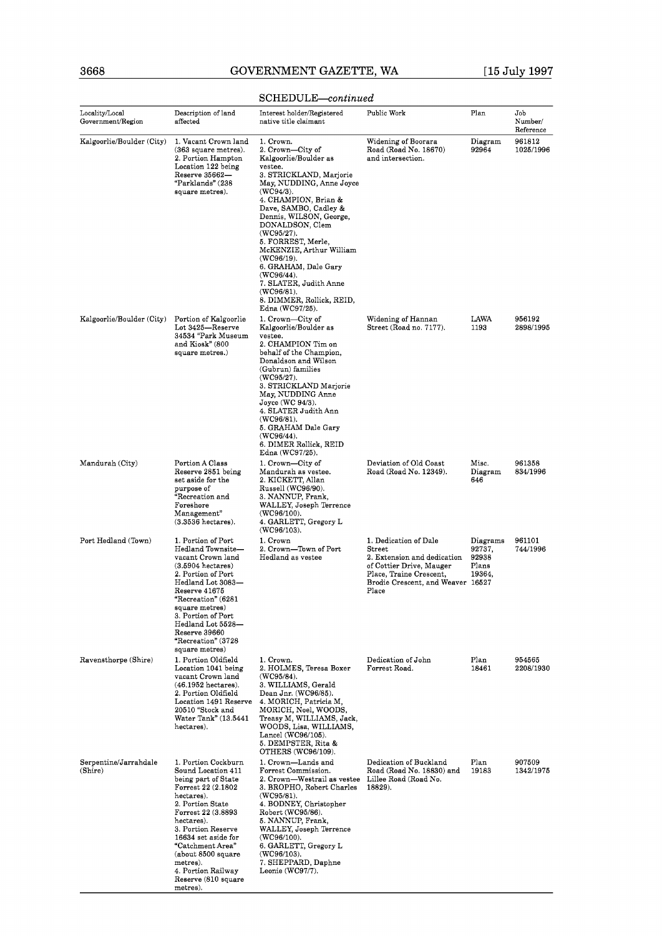## 3668 GOVERNMENT GAZETTE, WA [15 July 1997

|                                     |                                                                                                                                                                                                                                                                                                              | SCHEDULE—continued                                                                                                                                                                                                                                                                                                                                                                                                                                        |                                                                                                                                                                     |                                                |                             |
|-------------------------------------|--------------------------------------------------------------------------------------------------------------------------------------------------------------------------------------------------------------------------------------------------------------------------------------------------------------|-----------------------------------------------------------------------------------------------------------------------------------------------------------------------------------------------------------------------------------------------------------------------------------------------------------------------------------------------------------------------------------------------------------------------------------------------------------|---------------------------------------------------------------------------------------------------------------------------------------------------------------------|------------------------------------------------|-----------------------------|
| Locality/Local<br>Government/Region | Description of land<br>affected                                                                                                                                                                                                                                                                              | Interest holder/Registered<br>native title claimant                                                                                                                                                                                                                                                                                                                                                                                                       | Public Work                                                                                                                                                         | Plan                                           | Job<br>Number/<br>Reference |
| Kalgoorlie/Boulder (City)           | 1. Vacant Crown land<br>(363 square metres).<br>2. Portion Hampton<br>Location 122 being<br>Reserve 35662—<br>"Parklands" (238<br>square metres).                                                                                                                                                            | 1. Crown.<br>2. Crown—City of<br>Kalgoorlie/Boulder as<br>vestee.<br>3. STRICKLAND, Marjorie<br>May, NUDDING, Anne Joyce<br>$(WC94/3)$ .<br>4. CHAMPION, Brian &<br>Dave, SAMBO, Cadley &<br>Dennis, WILSON, George,<br>DONALDSON, Clem<br>$(WC95/27)$ .<br>5. FORREST, Merle,<br>McKENZIE, Arthur William<br>$(WC96/19)$ .<br>6. GRAHAM, Dale Gary<br>(WC96/44).<br>7. SLATER, Judith Anne<br>(WC96/81).<br>8. DIMMER, Rollick, REID,<br>Edna (WC97/25). | Widening of Boorara<br>Road (Road No. 18670)<br>and intersection.                                                                                                   | Diagram<br>92964                               | 961812<br>1025/1996         |
| Kalgoorlie/Boulder (City)           | Portion of Kalgoorlie<br>Lot 3425—Reserve<br>34534 "Park Museum<br>and Kiosk" (800<br>square metres.)                                                                                                                                                                                                        | 1. Crown—City of<br>Kalgoorlie/Boulder as<br>vestee.<br>2. CHAMPION Tim on<br>behalf of the Champion,<br>Donaldson and Wilson<br>(Gubrun) families<br>(WC95/27).<br>3. STRICKLAND Marjorie<br>May, NUDDING Anne<br>$Joyce$ (WC 94/3).<br>4. SLATER Judith Ann<br>$(WC96/81)$ .<br>5. GRAHAM Dale Gary<br>$(WC96/44)$ .<br>6. DIMER Rollick, REID<br>Edna (WC97/25).                                                                                       | Widening of Hannan<br>Street (Road no. 7177).                                                                                                                       | LAWA<br>1193                                   | 956192<br>2898/1995         |
| Mandurah (City)                     | Portion A Class<br>Reserve 2851 being<br>set aside for the<br>purpose of<br>"Recreation and<br>Foreshore<br>Management"<br>(3.3536 hectares).                                                                                                                                                                | 1. Crown—City of<br>Mandurah as vestee.<br>2. KICKETT, Allan<br>Russell (WC96/90).<br>3. NANNUP, Frank,<br>WALLEY, Joseph Terrence<br>$(WC96/100)$ .<br>4. GARLETT, Gregory L<br>(WC96/103).                                                                                                                                                                                                                                                              | Deviation of Old Coast<br>Road (Road No. 12349).                                                                                                                    | Misc.<br>Diagram<br>646                        | 961358<br>834/1996          |
| Port Hedland (Town)                 | 1. Portion of Port<br>Hedland Townsite-<br>vacant Crown land<br>(3.5904 hectares)<br>2. Portion of Port<br>Hedland Lot 3083—<br>Reserve 41675<br>"Recreation" (6281<br>square metres)<br>3. Portion of Port<br>Hedland Lot 5528-<br>Reserve 39660<br>"Recreation" (3728<br>square metres)                    | 1. Crown<br>2. Crown—Town of Port<br>Hedland as vestee                                                                                                                                                                                                                                                                                                                                                                                                    | 1. Dedication of Dale<br>Street<br>2. Extension and dedication<br>of Cottier Drive, Mauger<br>Place, Traine Crescent,<br>Brodie Crescent, and Weaver 16527<br>Place | Diagrams<br>92737,<br>92938<br>Plans<br>19364. | 961101<br>744/1996          |
| Ravensthorpe (Shire)                | 1. Portion Oldfield<br>Location 1041 being<br>vacant Crown land<br>(46.1952 hectares).<br>2. Portion Oldfield<br>Location 1491 Reserve<br>20510 "Stock and<br>Water Tank" (13.5441<br>hectares).                                                                                                             | 1. Crown.<br>2. HOLMES, Teresa Boxer<br>$(WC95/84)$ .<br>3. WILLIAMS, Gerald<br>Dean Jnr. (WC96/85).<br>4. MORICH, Patricia M,<br>MORICH, Noel, WOODS,<br>Treasy M, WILLIAMS, Jack,<br>WOODS, Lisa, WILLIAMS,<br>Lancel (WC96/105).<br>5. DEMPSTER, Rita &<br>OTHERS (WC96/109).                                                                                                                                                                          | Dedication of John<br>Forrest Road.                                                                                                                                 | Plan<br>18461                                  | 954565<br>2208/1930         |
| Serpentine/Jarrahdale<br>(Shire)    | 1. Portion Cockburn<br>Sound Location 411<br>being part of State<br>Forrest 22 (2.1802<br>hectares).<br>2. Portion State<br>Forrest 22 (3.8893<br>hectares).<br>3. Portion Reserve<br>16634 set aside for<br>"Catchment Area"<br>(about 8500 square<br>metres).<br>4. Portion Railway<br>Reserve (810 square | 1. Crown-Lands and<br>Forrest Commission.<br>2. Crown—Westrail as vestee<br>3. BROPHO, Robert Charles<br>$(WC95/81)$ .<br>4. BODNEY, Christopher<br>Robert (WC95/86).<br>5. NANNUP, Frank,<br>WALLEY, Joseph Terrence<br>(WC96/100).<br>6. GARLETT, Gregory L<br>$(WC96/103)$ .<br>7. SHEPPARD, Daphne<br>Leonie (WC97/7).                                                                                                                                | Dedication of Buckland<br>Road (Road No. 18830) and<br>Lillee Road (Road No.<br>18829).                                                                             | Plan<br>19183                                  | 907509<br>1342/1975         |

#### rontinued  $\alpha$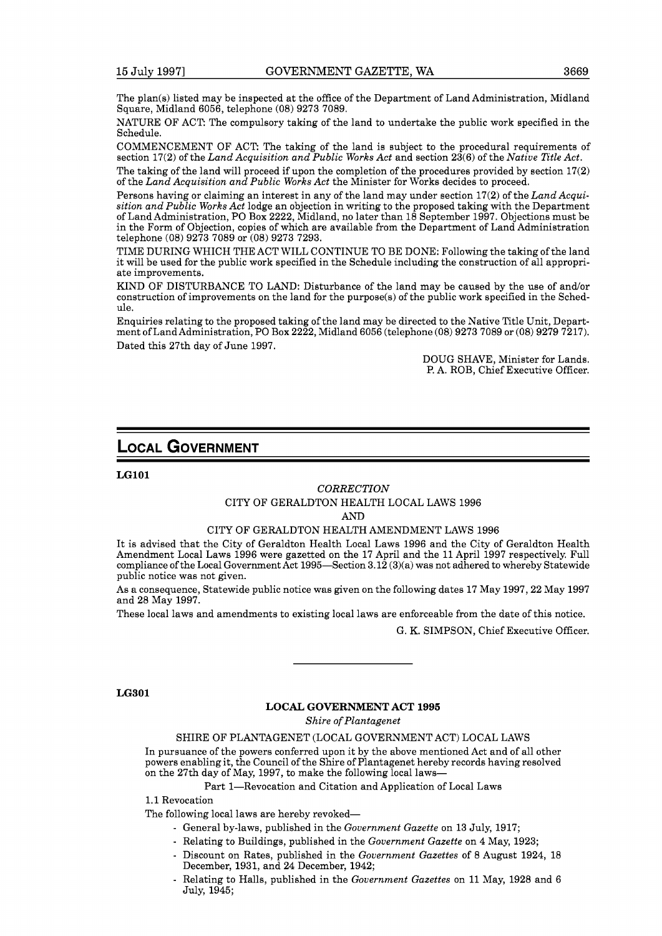The plan(s) listed may be inspected at the office of the Department of Land Administration, Midland Square, Midland 6056, telephone (08) 9273 7089.

NATURE OF ACT: The compulsory taking of the land to undertake the public work specified in the Schedule.

COMMENCEMENT OF ACT: The taking of the land is subject to the procedural requirements of section 17(2) of the *Land Acquisition and Public Works Act* and section 23(6) of the *Native Title Act.* 

The taking of the land will proceed if upon the completion of the procedures provided by section 17(2) of the *Land Acquisition and Public Works Act* the Minister for Works decides to proceed.

Persons having or claiming an interest in any of the land may under section 17(2) of the *Land Acquisition and Public Works Act* lodge an objection in writing to the proposed taking with the Department of Land Administration, PO Box 2222, Midland, no later than 18 September 1997. Objections must be in the Form of Objection, copies of which are available from the Department of Land Administration telephone (08) 9273 7089 or (08) 9273 7293.

TIME DURING WHICH THE ACT WILL CONTINUE TO BE DONE: Following the taking of the land it will be used for the public work specified in the Schedule including the construction of all appropriate improvements.

KIND OF DISTURBANCE TO LAND: Disturbance of the land may be caused by the use of and/or construction of improvements on the land for the purpose(s) of the public work specified in the Schedule.

Enquiries relating to the proposed taking of the land may be directed to the Native Title Unit, Department of Land Administration, PO Box 2222, Midland 6056 (telephone (08) 9273 7089 or (08) 9279 7217). Dated this 27th day of June 1997.

> DOUG SHAVE, Minister for Lands. P. A. ROB, Chief Executive Officer.

## **LOCAL GOVERNMENT**

**LGlOl** 

#### *CORRECTION*

#### CITY OF GERALDTON HEALTH LOCAL LAWS 1996

AND

#### CITY OF GERALDTON HEALTH AMENDMENT LAWS 1996

It is advised that the City of Geraldton Health Local Laws 1996 and the City of Geraldton Health Amendment Local Laws 1996 were gazetted on the 17 April and the 11 April 1997 respectively. Full compliance of the Local Government Act 1995-Section  $3.12(3)(a)$  was not adhered to whereby Statewide public notice was not given.

As a consequence, Statewide public notice was given on the following dates 17 May 1997,22 May 1997 and 28 May 1997.

These local laws and amendments to existing local laws are enforceable from the date of this notice.

G. K. SIMPSON, Chief Executive Officer.

### **LG301**

#### **LOCAL GOVERNMENT ACT 1995**

*Shire of Plantagenet* 

### SHIRE OF PLANTAGENET (LOCAL GOVERNMENT ACT) LOCAL LAWS

In pursuance of the powers conferred upon it by the above mentioned Act and of all other powers enabling it, the Council of the Shire of Plantagenet hereby records having resolved on the 27th day of May, 1997, to make the following local laws-

Part 1-Revocation and Citation and Application of Local Laws

1.1 Revocation

The following local laws are hereby revoked-

- General by-laws, published in the *Government Gazette* on 13 July, 1917;
- Relating to Buildings, published in the *Government Gazette* on 4 May, 1923;
- Discount on Rates, published in the *Government Gazettes* of 8 August 1924, 18 December, 1931, and 24 December, 1942;
- Relating to Halls, published in the *Government Gazettes* on 11 May, 1928 and 6 July, 1945;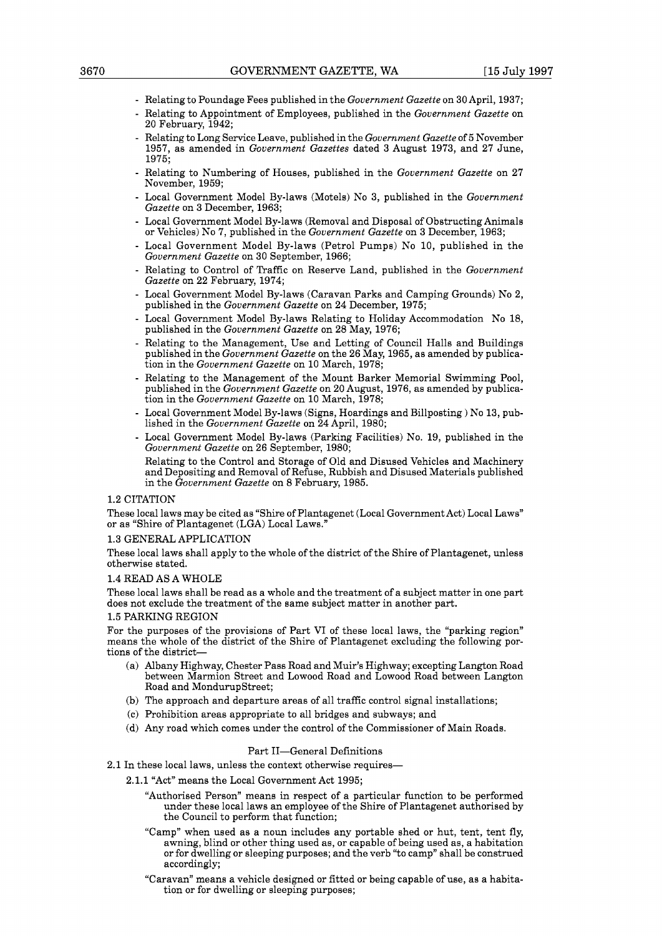- Relating to Poundage Fees published in the *Government Gazette* on 30 April, 1937;
- Relating to Appointment of Employees, published in the *Government Gazette* on 20 February, 1942;
- Relating to Long Service Leave, published in the *Government Gazette* of 5 November 1957, as amended in *Government Gazettes* dated 3 August 1973, and 27 June, 1975;
- Relating to Numbering of Houses, published in the *Government Gazette* on 27 November, 1959;
- Local Government Model By-laws (Motels) No 3, published in the *Government Gazette* on 3 December, 1963;
- Local Government Model By-laws (Removal and Disposal of Obstructing Animals or Vehicles) No 7, published in the *Government Gazette* on 3 December, 1963;
- Local Government Model By-laws (Petrol Pumps) No 10, published in the *Government Gazette* on 30 September, 1966;
- Relating to Control of Traffic on Reserve Land, published in the *Government Gazette* on 22 February, 1974;
- Local Government Model By-laws (Caravan Parks and Camping Grounds) No 2, published in the *Government Gazette* on 24 December, 1975;
- Local Government Model By-laws Relating to Holiday Accommodation No 18, published in the *Government Gazette* on 28 May, 1976;
- Relating to the Management, Use and Letting of Council Halls and Buildings published in the *Government Gazette* on the 26 May, 1965, as amended by publication in the *Government Gazette* on 10 March, 1978;
- Relating to the Management of the Mount Barker Memorial Swimming Pool, published in the *Government Gazette* on 20 August, 1976, as amended by publication in the *Government Gazette* on 10 March, 1978;
- Local Government Model By-laws (Signs, Hoardings and Billposting ) No 13, published in the *Government Gazette* on 24 April, 1980;
- Local Government Model By-laws (Parking Facilities) No. 19, published in the *Government Gazette* on 26 September, 1980;
- Relating to the Control and Storage of Old and Disused Vehicles and Machinery and Depositing and Removal of Refuse, Rubbish and Disused Materials published in the *Government Gazette* on 8 February, 1985.

#### 1.2 CITATION

These local laws may be cited as "Shire of Plantagenet (Local Government Act) Local Laws" or as "Shire of Plantagenet (LGA) Local Laws."

#### 1.3 GENERAL APPLICATION

These local laws shall apply to the whole of the district of the Shire of Plantagenet, unless otherwise stated.

#### 1.4 READ AS A WHOLE

These local laws shall be read as a whole and the treatment of a subject matter in one part does not exclude the treatment of the same subject matter in another part.

#### ING REGION:

For the purposes of the provisions of Part VI of these local laws, the "parking region" means the whole of the district of the Shire of Plantagenet excluding the following portions of the district-

- (a) Albany Highway, Chester Pass Road and Muir's Highway; excepting Langton Road between Marmion Street and Lowood Road and Lowood Road between Langton Road and MondurupStreet;
- (b) The approach and departure areas of all traffic control signal installations;
- (c) Prohibition areas appropriate to all bridges and subways; and
- (d) Any road which comes under the control of the Commissioner of Main Roads.

#### Part II-General Definitions

2.1 In these local laws, unless the context otherwise requires-

- 2.1.1 "Act" means the Local Government Act 1995;
	- "Authorised Person" means in respect of a particular function to be performed under these local laws an employee of the Shire of Plantagenet authorised by the Council to perform that function;
	- "Camp" when used as a noun includes any portable shed or hut, tent, tent fly, awning, blind or other thing used as, or capable of being used as, a habitation or for dwelling or sleeping purposes; and the verb "to camp" shall be construed accordingly;
	- "Caravan" means a vehicle designed or fitted or being capable of use, as a habitation or for dwelling or sleeping purposes;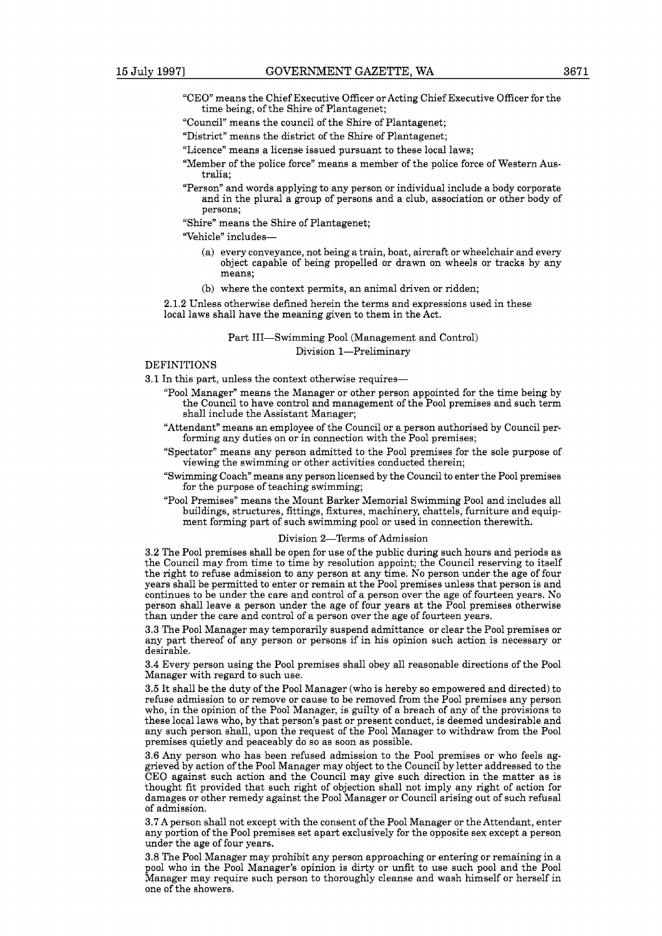- 
- "CEO" means the Chief Executive Officer or Acting Chief Executive Officer for the time being, of the Shire of Plantagenet;
- "Council" means the council of the Shire of Plantagenet;
- "District" means the district of the Shire of Plantagenet;
- "Licence" means a license issued pursuant to these local laws;
- "Member of the police force" means a member of the police force of Western Australia;
- "Person" and words applying to any person or individual include a body corporate and in the plural a group of persons and a club, association or other body of persons;
- "Shire" means the Shire of Plantagenet;

"Vehicle" includes-

- (a) every conveyance, not being a train, boat, aircraft or wheelchair and every object capable of being propelled or drawn on wheels or tracks by any means;
- (b) where the context permits, an animal driven or ridden;

**2.1.2** Unless otherwise defined herein the terms and expressions used in these local laws shall have the meaning given to them in the Act.

> Part III-Swimming Pool (Management and Control) Division 1-Preliminary

#### DEFINITIONS

- **3.1** In this part, unless the context otherwise requires-
	- "Pool Manager" means the Manager or other person appointed for the time being by the Council to have control and management of the Pool premises and such term shall include the Assistant Manager;
	- "Attendant" means an employee of the Council or a person authorised by Council performing any duties on or in connection with the Pool premises;
	- "Spectator" means any person admitted to the Pool premises for the sole purpose of viewing the swimming or other activities conducted therein;
	- "Swimming Coach" means any person licensed by the Council to enter the Pool premises for the purpose of teaching swimming;
	- "Pool Premises" means the Mount Barker Memorial Swimming Pool and includes all buildings, structures, fittings, fixtures, machinery, chattels, furniture and equipment forming part of such swimming pool or used in connection therewith.

#### Division 2-Terms of Admission

**3.2** The Pool premises shall be open for use of the public during such hours and periods as the Council may from time to time by resolution appoint; the Council reserving to itself the right to refuse admission to any person at any time. No person under the age of four years shall be permitted to enter or remain at the Pool premises unless that person is and continues to be under the care and control of a person over the age of fourteen years. No person shall leave a person under the age of four years at the Pool premises otherwise than under the care and control of a person over the age of fourteen years.

**3.3** The Pool Manager may temporarily suspend admittance or clear the Pool premises or any part thereof of any person or persons if in his opinion such action is necessary or desirable.

**3.4** Every person using the Pool premises shall obey all reasonable directions of the Pool Manager with regard to such use.

**3.5** It shall be the duty of the Pool Manager (who is hereby so empowered and directed) to refuse admission to or remove or cause to be removed from the Pool premises any person who, in the opinion of the Pool Manager, is guilty of a breach of any of the provisions to these local laws who, by that person's past or present conduct, is deemed undesirable and any such person shall, upon the request of the Pool Manager to withdraw from the Pool premises quietly and peaceably do so as soon as possible.

**3.6** Any person who has been refused admission to the Pool premises or who feels aggrieved by action of the Pool Manager may object to the Council by letter addressed to the CEO against such action and the Council may give such direction in the matter as is thought fit provided that such right of objection shall not imply any right of action for damages or other remedy against the Pool Manager or Council arising out of such refusal of admission.

**3.7** A person shall not except with the consent of the Pool Manager or the Attendant, enter any portion of the Pool premises set apart exclusively for the opposite sex except a person under the age of four years.

**3.8** The Pool Manager may prohibit any person approaching or entering or remaining in a pool who in the Pool Manager's opinion is dirty or unfit to use such pool and the Pool Manager may require such person to thoroughly cleanse and wash himself or herself in one of the showers.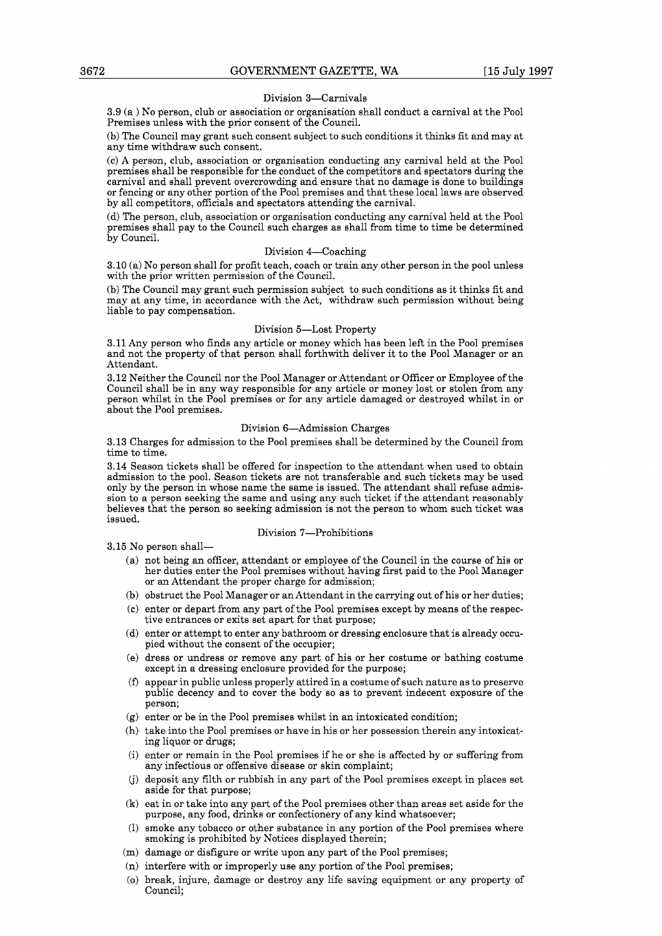#### Division 3-Carnivals

3.9 (a ) No person, club or association or organisation shall conduct a carnival at the Pool Premises unless with the prior consent of the Council.

(b) The Council may grant such consent subject to such conditions it thinks fit and may at any time withdraw such consent.

(c) A person, club, association or organisation conducting any carnival held at the Pool premises shall be responsible for the conduct of the competitors and spectators during the carnival and shall prevent overcrowding and ensure that no damage is done to buildings or fencing or any other portion of the Pool premises and that these local laws are observed by all competitors, officials and spectators attending the carnival.

(d) The person, club, association or organisation conducting any carnival held at the Pool premises shall pay to the Council such charges as shall from time to time be determined by Council.

#### Division 4-Coaching

3.10 (a) No person shall for profit teach, coach or train any other person in the pool unless with the prior written permission of the Council.

(b) The Council may grant such permission subject to such conditions as it thinks fit and may at any time, in accordance with the Act, withdraw such permission without being liable to pay compensation.

#### Division 5-Lost Property

3.11 Any person who finds any article or money which has been left in the Pool premises and not the property of that person shall forthwith deliver it to the Pool Manager or an Attendant.

3.12 Neither the Council nor the Pool Manager or Attendant or Officer or Employee of the Council shall be in any way responsible for any article or money lost or stolen from any person whilst in the Pool premises or for any article damaged or destroyed whilst in or about the Pool premises.

#### Division 6-Admission Charges

3.13 Charges for admission to the Pool premises shall be determined by the Council from time to time.

3.14 Season tickets shall be offered for inspection to the attendant when used to obtain admission to the pool. Season tickets are not transferable and such tickets may be used only by the person in whose name the same is issued. The attendant shall refuse admission to a person seeking the same and using any such ticket if the attendant reasonably believes that the person so seeking admission is not the person to whom such ticket was issued.

#### Division 7-Prohibitions

3.15 No person shall-

- (a) not being an officer, attendant or employee of the Council in the course of his or her duties enter the Pool premises without having first paid to the Pool Manager or an Attendant the proper charge for admission;
- (b) obstruct the Pool Manager or an Attendant in the carrying out of his or her duties;
- (c) enter or depart from any part of the Pool premises except by means of the respective entrances or exits set apart for that purpose;
- (d) enter or attempt to enter any bathroom or dressing enclosure that is already occu- pied without the consent of the occupier;
- (e) dress or undress or remove any part of his or her costume or bathing costume except in a dressing enclosure provided for the purpose;
- **(f)** appear in public unless properly attired in a costume of such nature as to preserve public decency and to cover the body so as to prevent indecent exposure of the person;
- (g) enter or be in the Pool premises whilst in an intoxicated condition;
- (h) take into the Pool premises or have in his or her possession therein any intoxicating liquor or drugs;
- (i) enter or remain in the Pool premises if he or she is affected by or suffering from any infectious or offensive disease or skin complaint;
- 6) deposit any filth or rubbish in any part of the Pool premises except in places set aside for that purpose;
- (k) eat in or take into any part of the Pool premises other than areas set aside for the purpose, any food, drinks or confectionery of any kind whatsoever;
- (1) smoke any tobacco or other substance in any portion of the Pool premises where smoking is prohibited by Notices displayed therein;
- (m) damage or disfigure or write upon any part of the Pool premises;
- (n) interfere with or improperly use any portion of the Pool premises;
- (0) break, injure, damage or destroy any life saving equipment or any property of Council;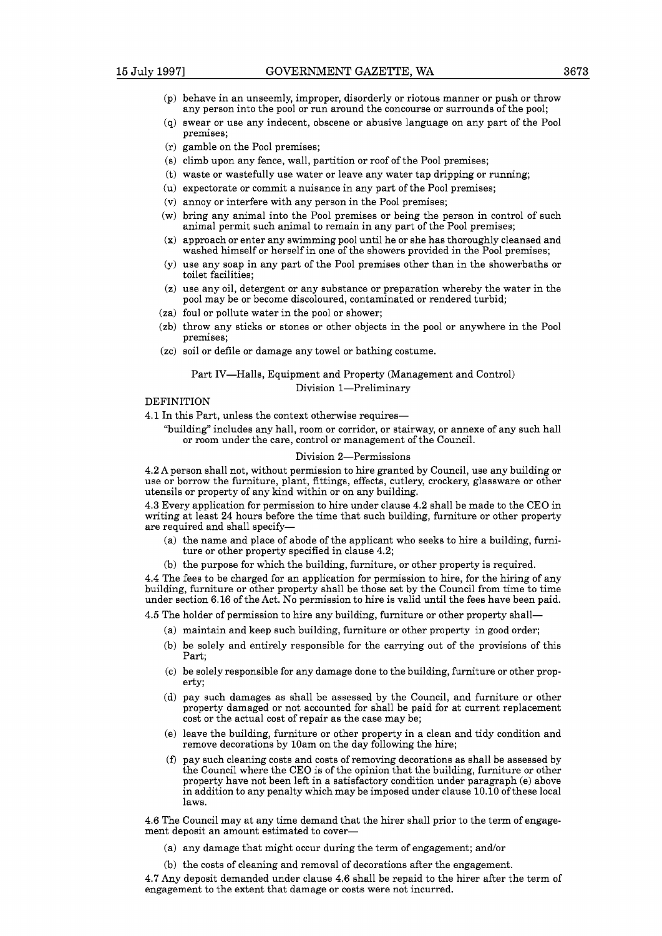- (p) behave in an unseemly, improper, disorderly or riotous manner or push or throw any person into the pool or run around the concourse or surrounds of the pool;
- (q) swear or use any indecent, obscene or abusive language on any part of the Pool premises;
- (r) gamble on the Pool premises;
- (s) climb upon any fence, wall, partition or roof of the Pool premises;
- (t) waste or wastefully use water or leave any water tap dripping or running;
- (u) expectorate or commit a nuisance in any part of the Pool premises;
- (v) annoy or interfere with any person in the Pool premises;
- (w) bring any animal into the Pool premises or being the person in control of such animal permit such animal to remain in any part of the Pool premises;
- (x) approach or enter any swimming pool until he or she has thoroughly cleansed and washed himself or herself in one of the showers provided in the Pool premises;
- (y) use any soap in any part of the Pool premises other than in the showerbaths or toilet facilities;
- (z) use any oil, detergent or any substance or preparation whereby the water in the pool may be or become discoloured, contaminated or rendered turbid;
- (za) foul or pollute water in the pool or shower;
- (zb) throw any sticks or stones or other objects in the pool or anywhere in the Pool premises;
- (zc) soil or defile or damage any towel or bathing costume.

## Part IV-Halls, Equipment and Property (Management and Control)

Division 1-Preliminary

#### DEFINITION

4.1 In this Part, unless the context otherwise requires-

"building" includes any hall, room or corridor, or stairway, or annexe of any such hall or room under the care, control or management of the Council.

#### Division 2-Permissions

4.2 A person shall not, without permission to hire granted by Council, use any building or use or borrow the furniture, plant, fittings, effects, cutlery, crockery, glassware or other utensils or property of any kind within or on any building.

4.3 Every application for permission to hire under clause 4.2 shall be made to the CEO in writing at least 24 hours before the time that such building, furniture or other property are required and shall specify-

- (a) the name and place of abode of the applicant who seeks to hire a building, furniture or other property specified in clause 4.2;
- (b) the purpose for which the building, furniture, or other property is required.

4.4 The fees to be charged for an application for permission to hire, for the hiring of any building, furniture or other property shall be those set by the Council from time to time under section 6.16 of the Act. No permission to hire is valid until the fees have been paid.

4.5 The holder of permission to hire any building, furniture or other property shall-

- (a) maintain and keep such building, furniture or other property in good order;
- (b) be solely and entirely responsible for the carrying out of the provisions of this Part;
- (c) be solely responsible for any damage done to the building, furniture or other property;
- (d) pay such damages as shall be assessed by the Council, and furniture or other property damaged or not accounted for shall be paid for at current replacement cost or the actual cost of repair as the case may be;
- (e) leave the building, furniture or other property in a clean and tidy condition and remove decorations by 10am on the day following the hire;
- **(f)** pay such cleaning costs and costs of removing decorations as shall be assessed by the Council where the CEO is of the opinion that the building, furniture or other property have not been left in a satisfactory condition under paragraph (e) above in addition to any penalty which may be imposed under clause 10.10 of these local laws.

4.6 The Council may at any time demand that the hirer shall prior to the term of engagement deposit an amount estimated to cover-

- (a) any damage that might occur during the term of engagement; and/or
- (b) the costs of cleaning and removal of decorations after the engagement.

4.7 Any deposit demanded under clause 4.6 shall be repaid to the hirer after the term of engagement to the extent that damage or costs were not incurred.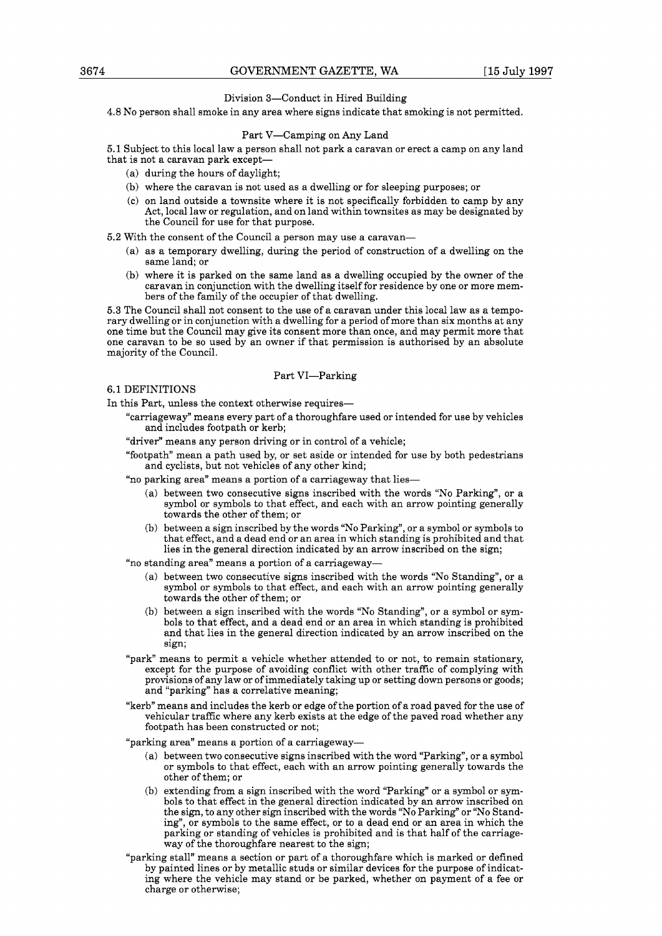#### Division 3-Conduct in Hired Building

4.8 No person shall smoke in any area where signs indicate that smoking is not permitted.

#### Part V-Camping on Any Land

5.1 Subject to this local law a person shall not park a caravan or erect a camp on any land that is not a caravan park except-

- (a) during the hours of daylight;
- (b) where the caravan is not used as a dwelling or for sleeping purposes; or
- (c) on land outside a townsite where it is not specifically forbidden to camp by any Act, local law or regulation, and on land within townsites as may be designated by the Council for use for that purpose.

5.2 With the consent of the Council a person may use a caravan-

- (a) as a temporary dwelling, during the period of construction of a dwelling on the same land; or
- (b) where it is parked on the same land as a dwelling occupied by the owner of the caravan in conjunction with the dwelling itself for residence by one or more members of the family of the occupier of that dwelling.

5.3 The Council shall not consent to the use of a caravan under this local law as a temporary dwelling or in conjunction with a dwelling for a period of more than six months at any one time but the Council may give its consent more than once, and may permit more that one caravan to be so used by an owner if that permission is authorised by an absolute majority of the Council.

### Part VI-Parking

#### 6.1 DEFINITIONS

In this Part, unless the context otherwise requires-

- "carriageway" means every part of a thoroughfare used or intended for use by vehicles and includes footpath or kerb;
- "driver" means any person driving or in control of a vehicle;
- "footpath" mean a path used by, or set aside or intended for use by both pedestrians and cyclists, but not vehicles of any other kind;
- "no parking area" means a portion of a carriageway that lies-
	- (a) between two consecutive signs inscribed with the words "No Parking", or a symbol or symbols to that effect, and each with an arrow pointing generally towards the other of them; or
	- (b) between a sign inscribed by the words "No Parking", or a symbol or symbols to that effect, and a dead end or an area in which standing is prohibited and that lies in the general direction indicated by an arrow inscribed on the sign;

"no standing area" means a portion of a carriageway-

- (a) between two consecutive signs inscribed with the words "No Standing", or a symbol or symbols to that effect, and each with an arrow pointing generally towards the other of them; or
- (b) between a sign inscribed with the words "No Standing", or a symbol or symbols to that effect, and a dead end or an area in which standing is prohibited and that lies in the general direction indicated by an arrow inscribed on the sign;
- "park" means to permit a vehicle whether attended to or not, to remain stationary, except for the purpose of avoiding conflict with other traffic of complying with provisions of any law or of immediately taking up or setting down persons or goods; and "parking" has a correlative meaning;
- "kerb" means and includes the kerb or edge of the portion of a road paved for the use of vehicular traffic where any kerb exists at the edge of the paved road whether any footpath has been constructed or not;

"parking area" means a portion of a carriageway-

- (a) between two consecutive signs inscribed with the word "Parking", or a symbol or symbols to that effect, each with an arrow pointing generally towards the other of them; or
- (b) extending from a sign inscribed with the word "Parking" or a symbol or symbols to that effect in the general direction indicated by an arrow inscribed on the sign, to any other sign inscribed with the words "No Parking" or "No Standing", or symbols to the same effect, or to a dead end or an area in which the parking or standing of vehicles is prohibited and is that half of the carriageway of the thoroughfare nearest to the sign;
- "parking stall" means a section or part of a thoroughfare which is marked or defined by painted lines or by metallic studs or similar devices for the purpose of indicating where the vehicle may stand or be parked, whether on payment of a fee or charge or otherwise;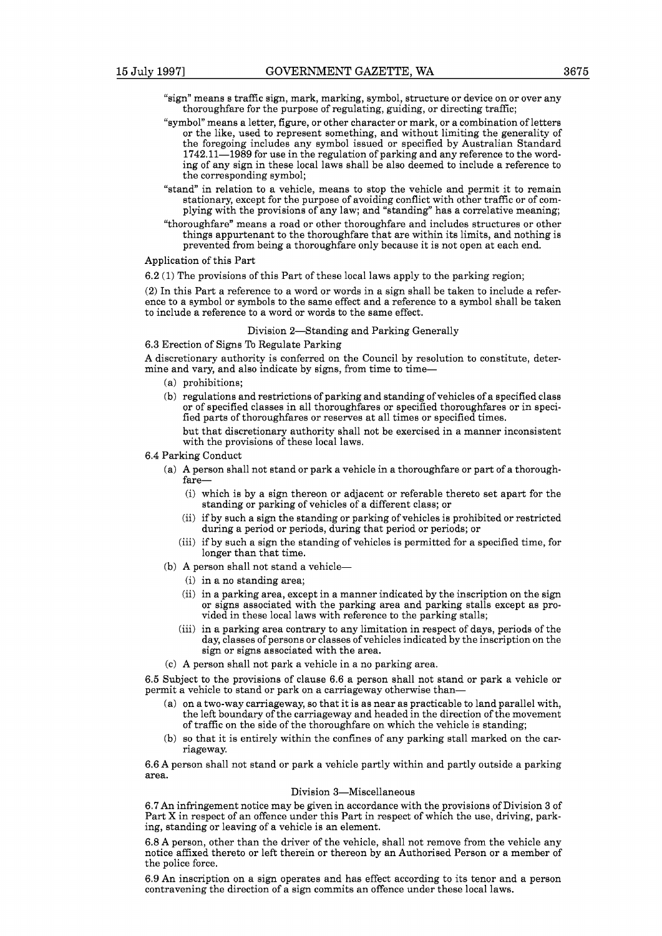- "sign" means s traffic sign, mark, marking, symbol, structure or device on or over any thoroughfare for the purpose of regulating, guiding, or directing traffic;
- "symbol" means a letter, figure, or other character or mark, or a combination of letters or the like, used to represent something, and without limiting the generality of the foregoing includes any symbol issued or specified by Australian Standard 1742.11-1989 for use in the regulation of parking and any reference to the wording of any sign in these local laws shall be also deemed to include a reference to the corresponding symbol;
- "stand" in relation to a vehicle, means to stop the vehicle and permit it to remain plying with the provisions of any law; and "standing" has a correlative meaning;
- "thoroughfare" means a road or other thoroughfare and includes structures or other things appurtenant to the thoroughfare that are within its limits, and nothing is prevented from being a thoroughfare only because it is not open at each end.

#### Application of this Part

6.2 (1) The provisions of this Part of these local laws apply to the parking region;

(2) In this Part a reference to a word or words in a sign shall be taken to include a refer- ence to a symbol or symbols to the same effect and a reference to a symbol shall be taken to include a reference to a word or words to the same effect.

#### Division 2-Standing and Parking Generally

#### 6.3 Erection of Signs To Regulate Parking

A discretionary authority is conferred on the Council by resolution to constitute, determine and vary, and also indicate by signs, from time to time-

- (a) prohibitions;
- (b) regulations and restrictions of parking and standing of vehicles of a specified class or of specified classes in all thoroughfares or specified thoroughfares or in specified parts of thoroughfares or reserves at all times or specified times.

but that discretionary authority shall not be exercised in a manner inconsistent with the provisions of these local laws.

6.4 Parking Conduct

- (a) A person shall not stand or park a vehicle in a thoroughfare or part of a thoroughfare-
	- (i) which is by a sign thereon or adjacent or referable thereto set apart for the standing or parking of vehicles of a different class; or
	- (ii) if by such a sign the standing or parking of vehicles is prohibited or restricted during a period or periods, during that period or periods; or
	- (iii) if by such a sign the standing of vehicles is permitted for a specified time, for longer than that time.
- (b) A person shall not stand a vehicle-
	- (i) in a no standing area;
	- (ii) in a parking area, except in a manner indicated by the inscription on the sign or signs associated with the parking area and parking stalls except as provided in these local laws with reference to the parking stalls;
	- (iii) in a parking area contrary to any limitation in respect of days, periods of the day, classes of persons or classes of vehicles indicated by the inscription on the sign or signs associated with the area.
- (c) A person shall not park a vehicle in a no parking area.

6.5 Subject to the provisions of clause 6.6 a person shall not stand or park a vehicle or permit a vehicle to stand or park on a carriageway otherwise than-

- (a) on a two-way carriageway, so that it is as near as practicable to land parallel with, the left boundary of the carriageway and headed in the direction of the movement of traffic on the side of the thoroughfare on which the vehicle is standing;
- (b) so that it is entirely within the confines of any parking stall marked on the car- riageway.

6.6 A person shall not stand or park a vehicle partly within and partly outside a parking area.

#### Division 3-Miscellaneous

6.7 An infringement notice may be given in accordance with the provisions of Division 3 of Part X in respect of an offence under this Part in respect of which the use, driving, parking, standing or leaving of a vehicle is an element.

6.8 A person, other than the driver of the vehicle, shall not remove from the vehicle any notice affixed thereto or left therein or thereon by an Authorised Person or a member of the police force.

6.9 An inscription on a sign operates and has effect according to its tenor and a person contravening the direction of a sign commits an offence under these local laws.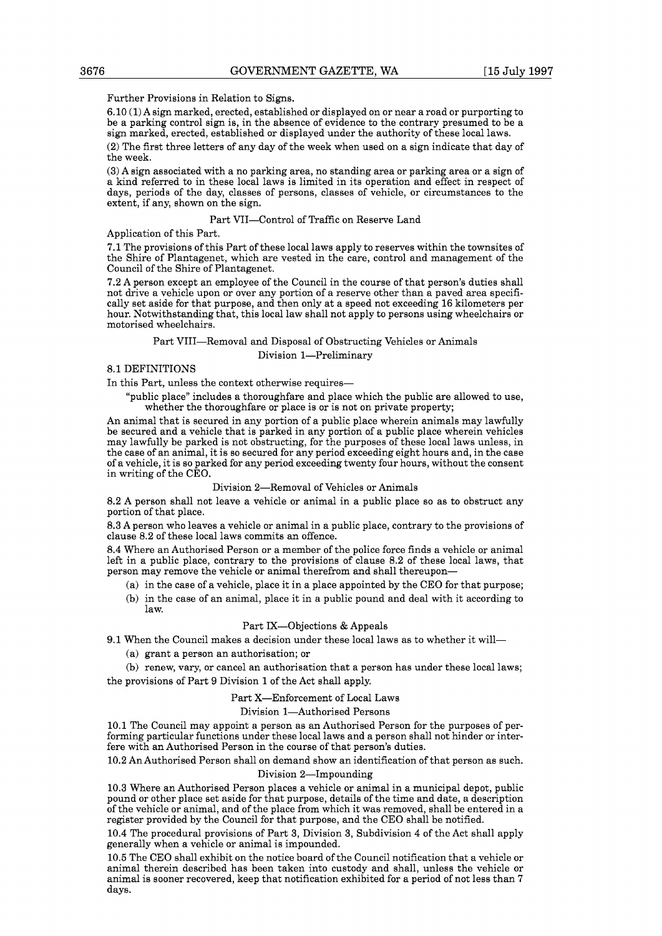Further Provisions in Relation to Signs.

6.10 (1) A sign marked, erected, established or displayed on or near a road or purporting to be a parking control sign is, in the absence of evidence to the contrary presumed to be a sign marked, erected, established or displayed under the authority of these local laws.

(2) The first three letters of any day of the week when used on a sign indicate that day of the week.

(3) A sign associated with a no parking area, no standing area or parking area or a sign of a kind referred to in these local laws is limited in its operation and effect in respect of days, periods of the day, classes of persons, classes of vehicle, or circumstances to the extent, if any, shown on the sign.

#### Part VII-Control of Traffic on Reserve Land

Application of this Part.

7.1 The provisions of this Part of these local laws apply to reserves within the townsites of the Shire of Plantagenet, which are vested in the care, control and management of the Council of the Shire of Plantagenet.

7.2 A person except an employee of the Council in the course of that person's duties shall not drive a vehicle upon or over any portion of a reserve other than a paved area specifically set aside for that purpose, and then only at a speed not exceeding 16 kilometers per hour. Notwithstanding that, this local law shall not apply to persons using wheelchairs or motorised wheelchairs.

## Part VIII-Removal and Disposal of Obstructing Vehicles or Animals

Division 1-Preliminary

#### 8.1 DEFINITIONS

In this Part, unless the context otherwise requires-

"public place" includes a thoroughfare and place which the public are allowed to use, whether the thoroughfare or place is or is not on private property;

An animal that is secured in any portion of a public place wherein animals may lawfully be secured and a vehicle that is parked in any portion of a public place wherein vehicles may lawfully be parked is not obstructing, for the purposes of these local laws unless, in the case of an animal, it is so secured for any period exceeding eight hours and, in the case of a vehicle, it is so parked for any period exceeding twenty four hours, without the consent in writing of the CEO.

#### Division 2-Removal of Vehicles or Animals

8.2 A person shall not leave a vehicle or animal in a public place so as to obstruct any portion of that place.

8.3 A person who leaves a vehicle or animal in a public place, contrary to the provisions of clause 8.2 of these local laws commits an offence.

8.4 Where an Authorised Person or a member of the police force finds a vehicle or animal left in a public place, contrary to the provisions of clause 8.2 of these local laws, that person may remove the vehicle or animal therefrom and shall thereupon-

- (a) in the case of a vehicle, place it in a place appointed by the CEO for that purpose;
- (b) in the case of an animal, place it in a public pound and deal with it according to law.

## Part IX-Objections & Appeals

- 9.1 When the Council makes a decision under these local laws as to whether it will-
	- (a) grant a person an authorisation; or

(b) renew, vary, or cancel an authorisation that a person has under these local laws; the provisions of Part 9 Division 1 of the Act shall apply.

#### Part X-Enforcement of Local Laws

#### Division 1-Authorised Persons

10.1 The Council may appoint a person as an Authorised Person for the purposes of performing particular functions under these local laws and a person shall not hinder or interfere with an Authorised Person in the course of that person's duties.

10.2 An Authorised Person shall on demand show an identification of that person as such. Division 2-Impounding

10.3 Where an Authorised Person places a vehicle or animal in a municipal depot, public pound or other place set aside for that purpose, details of the time and date, a description of the vehicle or animal, and of the place from which it was removed, shall be entered in a register provided by the Council for that purpose, and the CEO shall be notified.

10.4 The procedural provisions of Part 3, Division 3, Subdivision 4 of the Act shall apply generally when a vehicle or animal is impounded.

10.5 The CEO shall exhibit on the notice board of the Council notification that a vehicle or animal therein described has been taken into custody and shall, unless the vehicle or animal is sooner recovered, keep that notification exhibited for a period of not less than **7**  days.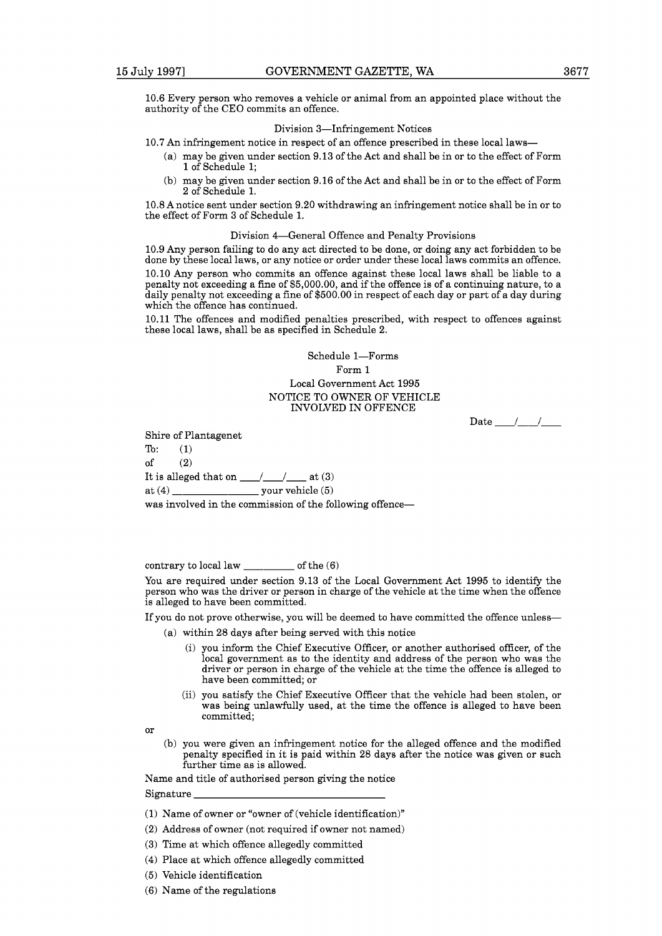10.6 Every person who removes a vehicle or animal from an appointed place without the authority of the CEO commits an offence.

## Division 3-Infringement Notices

10.7 An infringement notice in respect of an offence prescribed in these local laws-

- (a) may be given under section 9.13 of the Act and shall be in or to the effect of Form 1 of Schedule 1;
- (b) may be given under section 9.16 of the Act and shall be in or to the effect of Form 2 of Schedule 1.

10.8 A notice sent under section 9.20 withdrawing an infringement notice shall be in or to the effect of Form **3** of Schedule 1.

#### Division 4-General Offence and Penalty Provisions

10.9 Any person failing to do any act directed to be done, or doing any act forbidden to be done by these local laws, or any notice or order under these local laws commits an offence. 10.10 Any person who commits an offence against these local laws shall be liable to a penalty not exceeding a fine of \$5,000.00, and if the offence is of a continuing nature, to a daily penalty not exceeding a fine of \$500.00 in respect of each day or part of a day during which the offence has continued.

10.11 The offences and modified penalties prescribed, with respect to offences against these local laws, shall be as specified in Schedule 2.

## Schedule 1-Forms Form 1 Local Government Act 1995 NOTICE TO OWNER OF VEHICLE INVOLVED IN OFFENCE

Date  $\frac{1}{\sqrt{2}}$ 

Shire of Plantagenet

To: (1) of  $(2)$ It is alleged that on  $\frac{1}{\sqrt{2}}$  at (3) at (4)  $\frac{1}{\sqrt{2}}$  your vehicle (5)

was involved in the commission of the following offence-

contrary to local law  $\frac{1}{\sqrt{1-\frac{1}{\sqrt{1-\frac{1}{\sqrt{1-\frac{1}{\sqrt{1-\frac{1}{\sqrt{1-\frac{1}{\sqrt{1-\frac{1}{\sqrt{1-\frac{1}{\sqrt{1-\frac{1}{\sqrt{1-\frac{1}{\sqrt{1-\frac{1}{\sqrt{1-\frac{1}{\sqrt{1-\frac{1}{\sqrt{1-\frac{1}{\sqrt{1-\frac{1}{\sqrt{1-\frac{1}{\sqrt{1-\frac{1}{\sqrt{1-\frac{1}{\sqrt{1-\frac{1}{\sqrt{1-\frac{1}{\sqrt{1-\frac{1}{\sqrt{1-\frac{1}{\sqrt{1$ 

You are required under section 9.13 of the Local Government Act 1995 to identify the person who was the driver or person in charge of the vehicle at the time when the offence is alleged to have been committed.

If you do not prove otherwise, you will be deemed to have committed the offence unless-

- (a) within 28 days after being served with this notice
	- (i) you inform the Chief Executive Officer, or another authorised officer, of the local government as to the identity and address of the person who was the driver or person in charge of the vehicle at the time the offence is alleged to have been committed; or
	- (ii) you satisfy the Chief Executive Officer that the vehicle had been stolen, or was being unlawfully used, at the time the offence is alleged to have been committed;

or

(b) you were given an infringement notice for the alleged offence and the modified penalty specified in it is paid within 28 days after the notice was given or such further time as is allowed.

Name and title of authorised person giving the notice

Signature

- (1) Name of owner or "owner of (vehicle identification)"
- (2) Address of owner (not required if owner not named)
- (3) Time at which offence allegedly committed
- (4) Place at which offence allegedly committed
- (5) Vehicle identification
- (6) Name of the regulations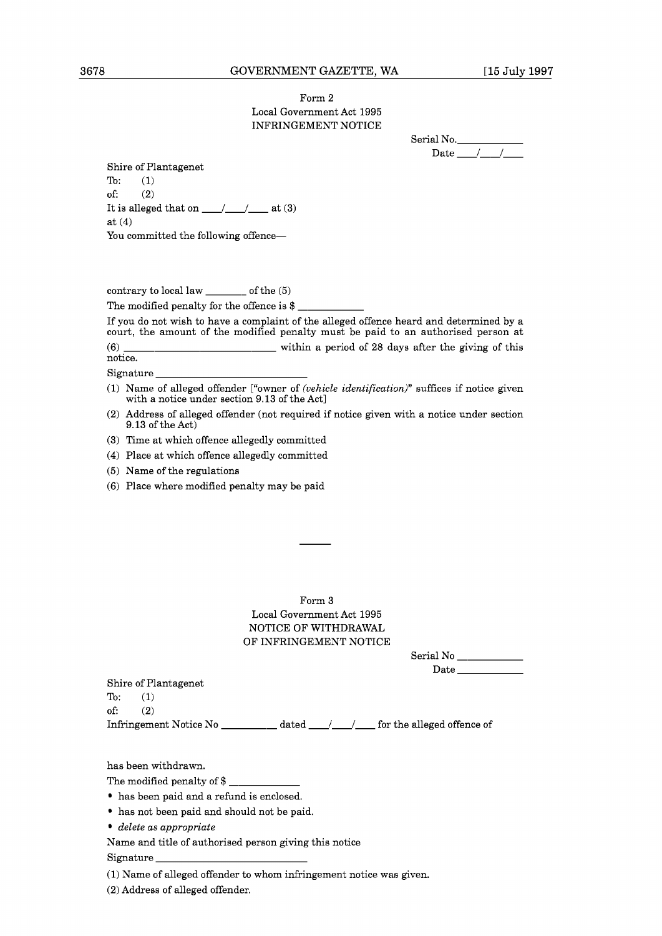## Form **2**  Local Government Act **1995**  INFRINGEMENT NOTICE

Serial No. Date  $\frac{1}{\sqrt{1-\frac{1}{2}}}$ 

Shire of Plantagenet To: **(1)**  of: **(2)**  It is alleged that on  $\_\_\_\_\_\_\_\_\$ at **(4)**  You committed the following offence-

contrary to local law \_\_\_\_\_\_\_ of the **(5)**<br>The modified penalty for the offence is \$ \_\_\_

If you do not wish to have a complaint of the alleged offence heard and determined by a court, the amount of the modified penalty must be paid to an authorised person at contrary to local law \_\_\_\_\_\_\_ of the (5)<br>The modified penalty for the offence is \$<br>If you do not wish to have a complaint of the alleged offence heard and determined by a<br>court, the amount of the modified penalty must be p notice.

Signature

- **(2)** Address of alleged offender (not required if notice given with a notice under section **9.13** of the Act)
- **(3)** Time at which offence allegedly committed
- **(4)** Place at which offence allegedly committed
- **(5)** Name of the regulations
- **(6)** Place where modified penalty may be paid

Form **3**  Local Government Act **1995**  NOTICE OF WITHDRAWAL OF INFRINGEMENT NOTICE

| Serial No |  |
|-----------|--|
| Date      |  |

Shire of Plantagenet To: **(1)**  of: **(2)**  Infringement Notice No \_\_\_\_\_\_\_\_\_\_\_ dated \_\_\_\_/\_\_\_\_\_/ for the alleged offence of

has been withdrawn.

The modified penalty of  $\frac{1}{2}$   $\frac{1}{2}$ 

- has been paid and a refund is enclosed.
- has not been paid and should not be paid.
- *delete* as *appropriate*

Name and title of authorised person giving this notice

Signature

**(1)** Name of alleged offender to whom infringement notice was given.

**(2)** Address of alleged offender.

**<sup>(1)</sup>** Name of alleged offender ["owner of *(vehicle identification)"* suffices if notice given with a notice under section **9.13** of the Act]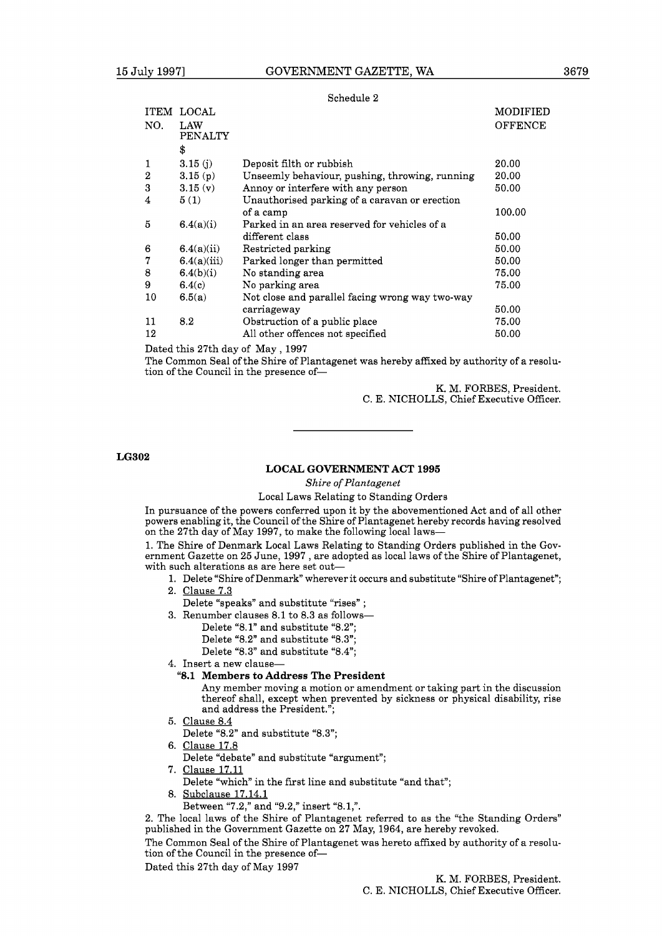#### Schedule 2

|                  | <b>ITEM LOCAL</b>     |                                                 | <b>MODIFIED</b> |
|------------------|-----------------------|-------------------------------------------------|-----------------|
| NO.              | LAW<br><b>PENALTY</b> |                                                 | <b>OFFENCE</b>  |
|                  | \$                    |                                                 |                 |
| 1                | 3.15(j)               | Deposit filth or rubbish                        | 20.00           |
| $\boldsymbol{2}$ | 3.15(p)               | Unseemly behaviour, pushing, throwing, running  | 20.00           |
| 3                | 3.15(v)               | Annoy or interfere with any person              | 50.00           |
| 4                | 5(1)                  | Unauthorised parking of a caravan or erection   |                 |
|                  |                       | of a camp                                       | 100.00          |
| 5                | 6.4(a)(i)             | Parked in an area reserved for vehicles of a    |                 |
|                  |                       | different class                                 | 50.00           |
| 6                | 6.4(a)(ii)            | Restricted parking                              | 50.00           |
| 7                | 6.4(a)(iii)           | Parked longer than permitted                    | 50.00           |
| 8                | 6.4(b)(i)             | No standing area                                | 75.00           |
| 9                | 6.4(c)                | No parking area                                 | 75.00           |
| 10               | 6.5(a)                | Not close and parallel facing wrong way two-way |                 |
|                  |                       | carriageway                                     | 50.00           |
| 11               | 8.2                   | Obstruction of a public place                   | 75.00           |
| 12               |                       | All other offences not specified                | 50.00           |
|                  |                       |                                                 |                 |

Dated this 27th day of May, 1997

The Common Seal of the Shire of Plantagenet was hereby affixed by authority of a resolution of the Council in the presence of-

> K. M. FORBES, President. C. E. NICHOLLS, Chief Executive Officer.

**LG302** 

#### **LOCAL GOVERNMENT ACT 1995**

*Shire of Plantagenet* 

### Local Laws Relating to Standing Orders

In pursuance of the powers conferred upon it by the abovementioned Act and of all other powers enabling it, the Council of the Shire of Plantagenet hereby records having resolved on the 27th day of May 1997, to make the following local laws-

1. The Shire of Denmark Local Laws Relating to Standing Orders published in the Government Gazette on 25 June, 1997 , are adopted as local laws of the Shire of Plantagenet, with such alterations as are here set out-

- 1. Delete "Shire of Denmark" wherever it occurs and substitute "Shire of Plantagenet";
	- 2. Clause 7.3
	- Delete "speaks" and substitute "rises" ;
	- 3. Renumber clauses 8.1 to 8.3 as follows-
		- Delete "8.1" and substitute "8.2";
		- Delete "8.2" and substitute "8.3";
		- Delete "8.3" and substitute "8.4";
	- 4. Insert a new clause-
		- **"8.1 Members to Address The President**

Any member moving a motion or amendment or taking part in the discussion thereof shall, except when prevented by sickness or physical disability, rise and address the President.";

- 5. Clause 8.4
- Delete "8.2" and substitute "8.3";
- 6. Clause 17.8
- Delete "debate" and substitute "argument";
- 7. Clause 17.11
- Delete "which" in the first line and substitute "and that";
- 8. Subclause 17.14.1
	- Between "7.2," and "9.2," insert "8.1,".

2. The local laws of the Shire of Plantagenet referred to as the "the Standing Orders" published in the Government Gazette on 27 May, 1964, are hereby revoked.

The Common Seal of the Shire of Plantagenet was hereto affixed by authority of a resolution of the Council in the presence of-

Dated this 27th day of May 1997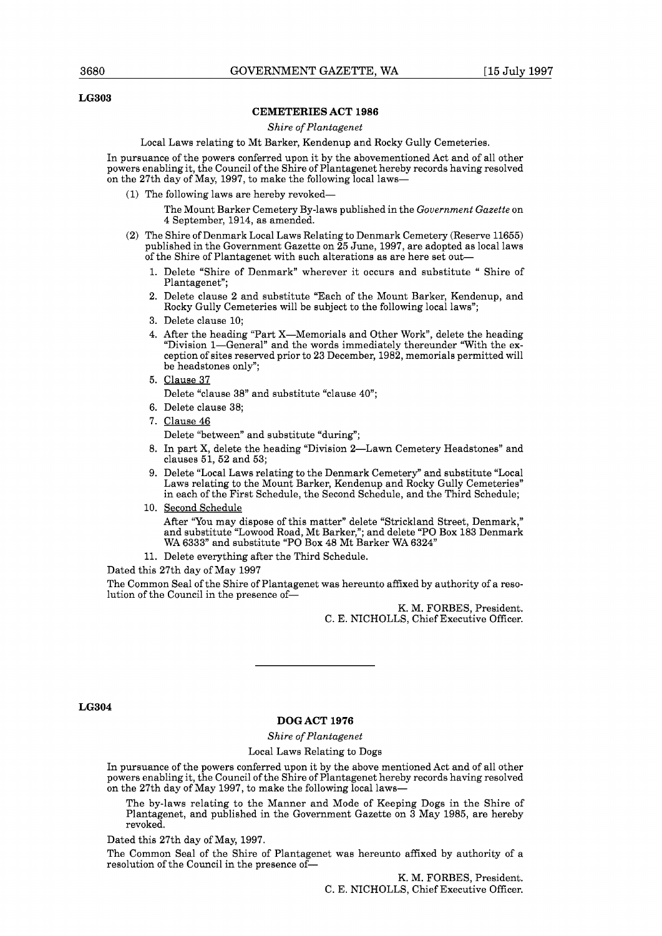## **LG303**

#### **CEMETERIES ACT 1986**

#### *Shire of Plantagenet*

#### Local Laws relating to Mt Barker, Kendenup and Rocky Gully Cemeteries.

In pursuance of the powers conferred upon it by the abovementioned Act and of all other powers enabling it, the Council of the Shire of Plantagenet hereby records having resolved on the 27th day of May, 1997, to make the following local laws-

- (1) The following laws are hereby revoked-
	- The Mount Barker Cemetery By-laws published in the *Government Gazette* on 4 September, 1914, as amended.
- (2) The Shire of Denmark Local Laws Relating to Denmark Cemetery (Reserve 11655) published in the Government Gazette on 25 June, 1997, are adopted as local laws of the Shire of Plantagenet with such alterations as are here set out-
	- 1. Delete "Shire of Denmark" wherever it occurs and substitute " Shire of Plantagenet";
	- 2. Delete clause 2 and substitute "Each of the Mount Barker, Kendenup, and Rocky Gully Cemeteries will be subject to the following local laws";
	- 3. Delete clause 10;
	- 4. After the heading "Part X-Memorials and Other Work", delete the heading "Division 1-General" and the words immediately thereunder "With the exception of sites reserved prior to 23 December, 1982, memorials permitted will be headstones only";
	- 5. Clause 37

Delete "clause 38" and substitute "clause 40";

- 6. Delete clause 38;
- 7. Clause 46

Delete "between" and substitute "during";

- 8. In part X, delete the heading "Division 2-Lawn Cemetery Headstones" and clauses 51, 52 and 53;
- 9. Delete "Local Laws relating to the Denmark Cemetery" and substitute "Local Laws relating to the Mount Barker, Kendenup and Rocky Gully Cemeteries" in each of the First Schedule, the Second Schedule, and the Third Schedule;
- 10. Second Schedule

After "You may dispose of this matter" delete "Strickland Street, Denmark," and substitute "Lowood Road, Mt Barker,"; and delete "PO Box 183 Denmark WA 6333" and substitute "PO Box 48 Mt Barker WA 6324"

11. Delete everything after the Third Schedule.

Dated this 27th day of May 1997

The Common Seal of the Shire of Plantagenet was hereunto affixed by authority of a resolution of the Council in the presence of-

> K. M. FORBES, President. C. E. NICHOLLS, Chief Executive Officer.

#### **LG304**

#### **DOG ACT 1976**

#### *Shire of Plantagenet*

#### Local Laws Relating to Dogs

In pursuance of the powers conferred upon it by the above mentioned Act and of all other powers enabling it, the Council of the Shire of Plantagenet hereby records having resolved on the 27th day of May 1997, to make the following local laws-

The by-laws relating to the Manner and Mode of Keeping Dogs in the Shire of Plantagenet, and published in the Government Gazette on 3 May 1985, are hereby revoked.

Dated this 27th day of May, 1997.

The Common Seal of the Shire of Plantagenet was hereunto affixed by authority of a resolution of the Council in the presence of-

> K. M. FORBES, President. C. E. NICHOLLS, Chief Executive Officer.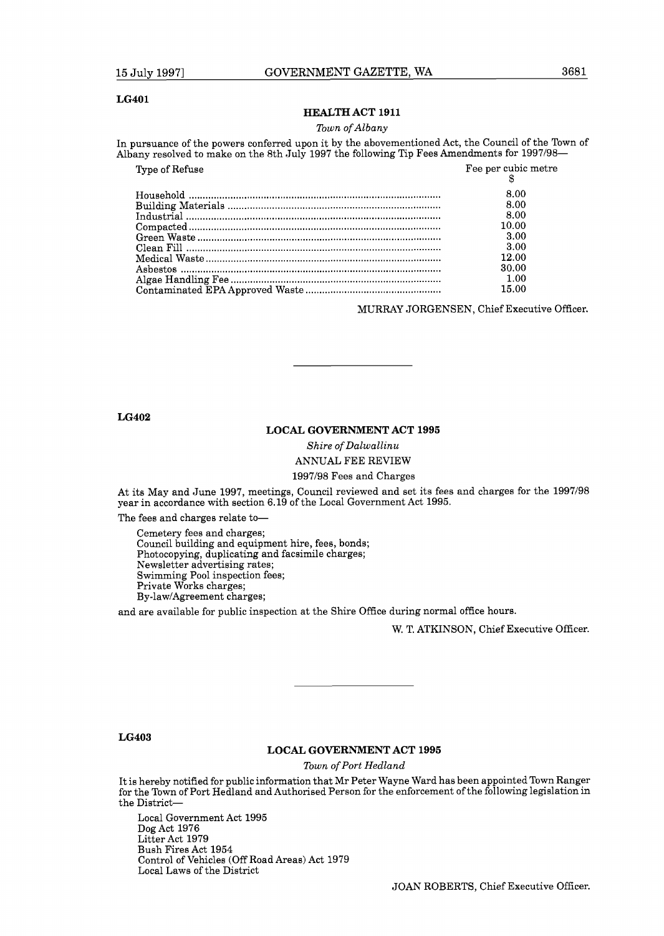#### **LG401**

#### **HEALTH ACT 1911**

#### *Town of Albany*

In pursuance of the powers conferred upon it by the abovementioned Act, the Council of the Town of Albany resolved to make on the 8th July 1997 the following Tip Fees Amendments for 1997/98-

| religiouslike of the powers conferred upon it by the abovementioned rice, the council of the TC<br>any resolved to make on the 8th July 1997 the following Tip Fees Amendments for 1997/98- |                     |
|---------------------------------------------------------------------------------------------------------------------------------------------------------------------------------------------|---------------------|
| Type of Refuse                                                                                                                                                                              | Fee per cubic metre |
|                                                                                                                                                                                             | 8.00                |
|                                                                                                                                                                                             | 8.00                |
|                                                                                                                                                                                             | 8.00                |
|                                                                                                                                                                                             | 10.00               |
|                                                                                                                                                                                             | 3.00                |
|                                                                                                                                                                                             | 3.00                |
|                                                                                                                                                                                             | 12.00               |
|                                                                                                                                                                                             | 30.00               |
|                                                                                                                                                                                             | 1.00                |
|                                                                                                                                                                                             | 15.00               |
|                                                                                                                                                                                             |                     |

MURRAY JORGENSEN, Chief Executive Officer.

**LG402** 

### **LOCAL GOVERNMENT ACT 1995**

*Shire of Dalwallinu*  ANNUAL FEE REVIEW

#### 1997198 Fees and Charges

At its May and June 1997, meetings, Council reviewed and set its fees and charges for the 1997/98 year in accordance with section 6.19 of the Local Government Act 1995.

The fees and charges relate to-

Cemetery fees and charges; Council building and equipment hire, fees, bonds; Photocopying, duplicating and facsimile charges; Newsletter advertising rates; Swimming Pool inspection fees; Private Works charges; By-law/Agreement charges;

and are available for public inspection at the Shire Office during normal office hours.

W. T. ATKINSON, Chief Executive Officer.

**LG403** 

## **LOCAL GOVERNMENT ACT 1995**

*Town of Port Hedland* 

It is hereby notified for public information that Mr Peter Wayne Ward has been appointed Town Ranger for the Town of Port Hedland and Authorised Person for the enforcement of the following legislation in the District-

Local Government Act 1995 Dog Act 1976 Litter Act 1979 Bush Fires Act 1954 Control of Vehicles (Off Road Areas) Act 1979 Local Laws of the District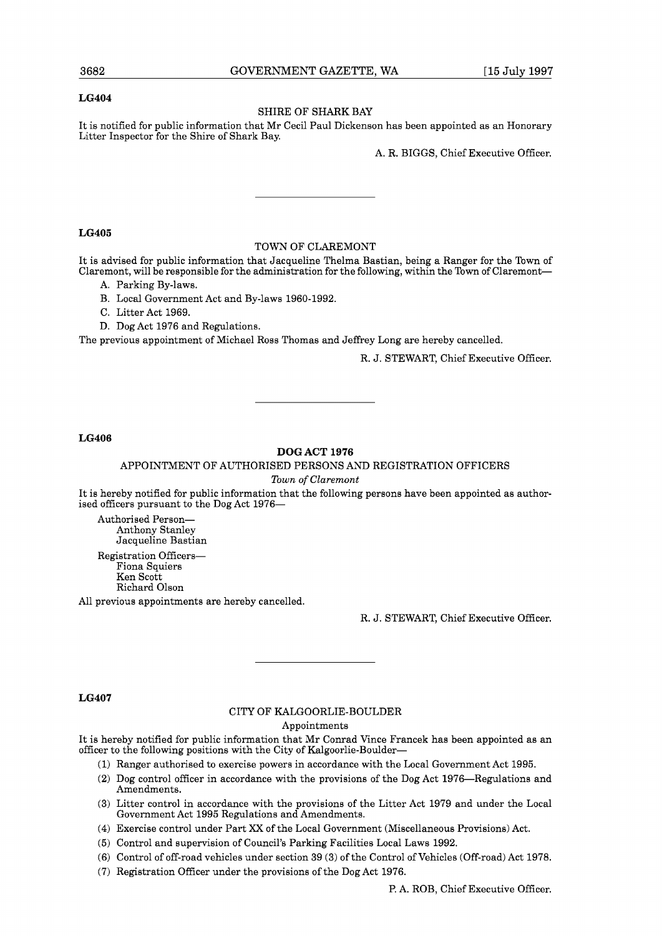## **LG404**

## SHIRE OF SHARK BAY

It is notified for public information that Mr Cecil Paul Dickenson has been appointed as an Honorary Litter Inspector for the Shire of Shark Bay.

A. R. BIGGS, Chief Executive Officer.

#### **LG405**

### TOWN OF CLAREMONT

It is advised for public information that Jacqueline Thelma Bastian, being a Ranger for the Town of Claremont, will be responsible for the administration for the following, within the Town of Claremont--

- A. Parking By-laws.
- B. Local Government Act and By-laws 1960-1992.
- C. Litter Act 1969.
- D. Dog Act 1976 and Regulations.

The previous appointment of Michael Ross Thomas and Jeffrey Long are hereby cancelled.

R. J. STEWART, Chief Executive Officer.

## **LG406**

## **DOG ACT 1976**

#### APPOINTMENT OF AUTHORISED PERSONS AND REGISTRATION OFFICERS

*Town of Clarernont* 

It is hereby notified for public information that the following persons have been appointed as authorised officers pursuant to the Dog Act 1976-

Authorised Person-Anthony Stanley Jacqueline Bastian

Registration Officers-Fiona Squiers Ken Scott Richard Olson All previous appointments are hereby cancelled.

R. J. STEWART, Chief Executive Officer.

#### **LG407**

## CITY OF KALGOORLIE-BOULDER

Appointments

It is hereby notified for public information that Mr Conrad Vince Francek has been appointed as an officer to the following positions with the City of Kalgoorlie-Boulder-

- (1) Ranger authorised to exercise powers in accordance with the Local Government Act 1995.
- (2) Dog control officer in accordance with the provisions of the Dog Act 1976-Regulations and Amendments.
- **(3)** Litter control in accordance with the provisions of the Litter Act 1979 and under the Local Government Act 1995 Regulations and Amendments.
- (4) Exercise control under Part **XX** of the Local Government (Miscellaneous Provisions) Act.
- (5) Control and supervision of Council's Parking Facilities Local Laws 1992.
- (6) Control of off-road vehicles under section 39 (3) of the Control of Vehicles (Off-road) Act 1978.
- (7) Registration Officer under the provisions of the Dog Act 1976.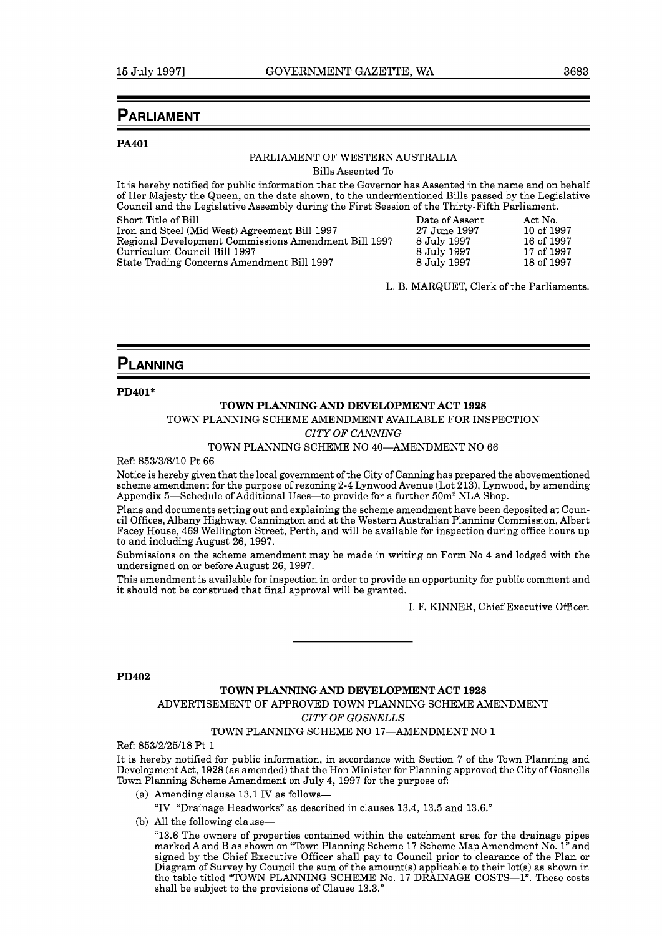## **PARLIAMENT**

#### **PA401**

## PARLIAMENT OF WESTERN AUSTRALIA

Bills Assented To

It is hereby notified for public information that the Governor has Assented in the name and on behalf of Her Majesty the Queen, on the date shown, to the undermentioned Bills passed by the Legislative Council and the Legislative Assembly during the First Session of the Thirty-Fifth Parliament.

| Short Title of Bill                                  | Date of Assent | Act No.    |
|------------------------------------------------------|----------------|------------|
| Iron and Steel (Mid West) Agreement Bill 1997        | 27 June 1997   | 10 of 1997 |
| Regional Development Commissions Amendment Bill 1997 | 8 July 1997    | 16 of 1997 |
| Curriculum Council Bill 1997                         | 8 July 1997    | 17 of 1997 |
| State Trading Concerns Amendment Bill 1997           | 8 July 1997    | 18 of 1997 |

L. B. MARQUET, Clerk of the Parliaments.

## PLANNING

**PD401\*** 

## **TOWN PLANNING AND DEVELOPMENT ACT 1928**

TOWN PLANNING SCHEME AMENDMENT AVAILABLE FOR INSPECTION

## *CITY OF CANNING*

TOWN PLANNING SCHEME NO 40-AMENDMENT NO 66

Ref: 853/3/8/10 Pt 66

Notice is hereby given that the local government of the City of Canning has prepared the abovementioned scheme amendment for the purpose of rezoning 2-4 Lynwood Avenue (Lot 213), Lynwood, by amending Appendix 5-Schedule of Additional Uses-to provide for a further  $50m^2$  NLA Shop.

Plans and documents setting out and explaining the scheme amendment have been deposited at Council Offices, Albany Highway, Cannington and at the Western Australian Planning Commission, Albert Facey House, 469 Wellington Street, Perth, and will be available for inspection during office hours up to and including August 26, 1997.

Submissions on the scheme amendment may be made in writing on Form No 4 and lodged with the undersigned on or before August 26, 1997.

This amendment is available for inspection in order to provide an opportunity for public comment and it should not be construed that final approval will be granted.

I. F. KINNER, Chief Executive Officer.

#### **PD402**

## **TOWN PLANNING AND DEVELOPMENT ACT 1928**  ADVERTISEMENT OF APPROVED TOWN PLANNING SCHEME AMENDMENT *CITY OF GOSNELLS*

### TOWN PLANNING SCHEME NO 17-AMENDMENT NO 1

Ref: 853/2/25/18 Pt 1

It is hereby notified for public information, in accordance with Section 7 of the Town Planning and Development Act, 1928 (as amended) that the Hon Minister for Planning approved the City of Gosnells Town Planning Scheme Amendment on July 4, 1997 for the purpose of:

(a) Amending clause 13.1 IV as follows-

"IV "Drainage Headworks" as described in clauses 13.4, 13.5 and 13.6."

(b) All the following clause-

"13.6 The owners of properties contained within the catchment area for the drainage pipes marked A and B as shown on "Town Planning Scheme 17 Scheme Map Amendment No. 1" and signed by the Chief Executive Officer shall pay to Council prior to clearance of the Plan or Diagram of Survey by Council the sum of the amount(s) applicable to their lot(s) as shown in the table titled "TOWN PLANNING SCHEME No. 17 DRAINAGE COSTS-1". These costs shall be subject to the provisions of Clause 13.3."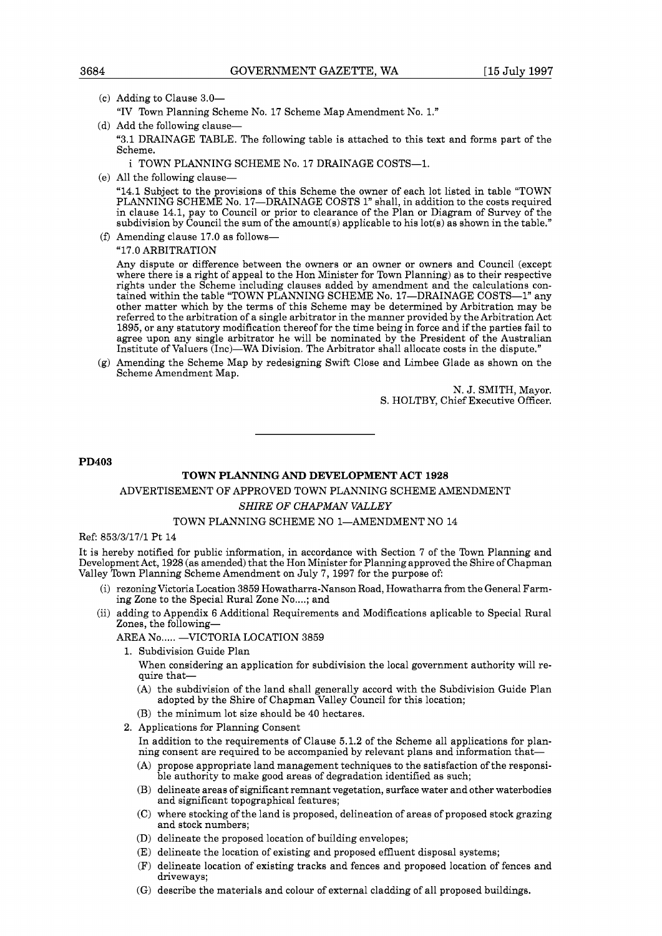- (c) Adding to Clause  $3.0-$ 
	- "IV Town Planning Scheme No. 17 Scheme Map Amendment No. 1."
- (d) Add the following clause-

"3.1 DRAINAGE TABLE. The following table is attached to this text and forms part of the Scheme.

i TOWN PLANNING SCHEME No. 17 DRAINAGE COSTS-1.

(e) All the following clause-

"14.1 Subject to the provisions of this Scheme the owner of each lot listed in table "TOWN PLANNING SCHEME No. 17-DRAINAGE COSTS 1" shall, in addition to the costs required in clause 14.1, pay to Council or prior to clearance of the Plan or Diagram of Survey of the subdivision by Council the sum of the amount(s) applicable to his lot(s) as shown in the table."

(f) Amending clause  $17.0$  as follows-

"17.0 ARBITRATION

Any dispute or difference between the owners or an owner or owners and Council (except where there is a right of appeal to the Hon Minister for Town Planning) as to their respective rights under the Scheme including clauses added by amendment and the calculations contained within the table "TOWN PLANNING SCHEME No. 17-DRAINAGE COSTS-1" any other matter which by the terms of this Scheme may be determined by Arbitration may be referred to the arbitration of a single arbitrator in the manner provided by the Arbitration Act 1895, or any statutory modification thereof for the time being in force and if the parties fail to agree upon any single arbitrator he will be nominated by the President of the Australian Institute of Valuers (1nc)-WA Division. The Arbitrator shall allocate costs in the dispute."

(g) Amending the Scheme Map by redesigning Swift Close and Limbee Glade as shown on the Scheme Amendment Map.

> N. J. SMITH, Mayor. S. HOLTBY, Chief Executive Officer.

**PD403** 

## **TOWN PLANNING AND DEVELOPMENT ACT 1928**

## ADVERTISEMENT OF APPROVED TOWN PLANNING SCHEME AMENDMENT

## **SHIRE OF CHAPMAN VALLEY**

## TOWN PLANNING SCHEME NO 1-AMENDMENT NO 14

## Ref: 853/3/17/1 Pt 14

It is hereby notified for public information, in accordance with Section 7 of the Town Planning and Development Act, 1928 (as amended) that the Hon Minister for Planning approved the Shire of Chapman Valley Town Planning Scheme Amendment on July 7, 1997 for the purpose of:

- (i) rezoning Victoria Location 3859 Howatharra-Nanson Road, Howatharra from the General Farming Zone to the Special Rural Zone No....; and
- (ii) adding to Appendix 6 Additional Requirements and Modifications aplicable to Special Rural Zones, the following-

## AREA No..... -VICTORIA LOCATION 3859

1. Subdivision Guide Plan

When considering an application for subdivision the local government authority will require that-

- (A) the subdivision of the land shall generally accord with the Subdivision Guide Plan adopted by the Shire of Chapman Valley Council for this location;
- (B) the minimum lot size should be 40 hectares.
- **2.** Applications for Planning Consent

In addition to the requirements of Clause 5.1.2 of the Scheme all applications for planning consent are required to be accompanied by relevant plans and information that-

- (A) propose appropriate land management techniques to the satisfaction of the responsible authority to make good areas of degradation identified as such;
- (B) delineate areas of significant remnant vegetation, surface water and other waterbodies and significant topographical features;
- (C) where stocking of the land is proposed, delineation of areas of proposed stock grazing and stock numbers;
- (D) delineate the proposed location of building envelopes;
- (E) delineate the location of existing and proposed effluent disposal systems;
- (F) delineate location of existing tracks and fences and proposed location of fences and driveways;
- (G) describe the materials and colour of external cladding of all proposed buildings.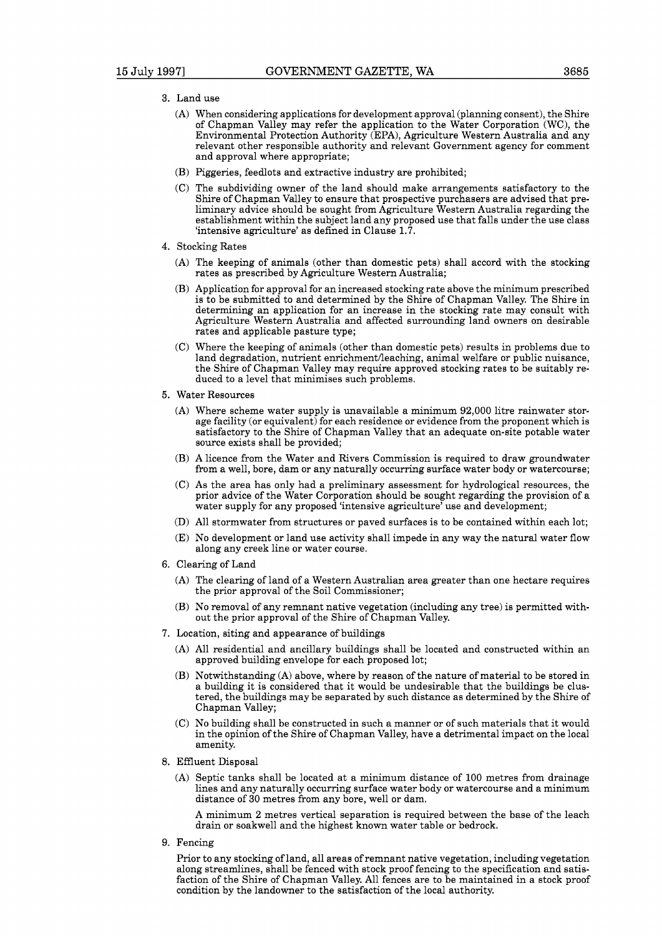- **3.** Land use
	- (A) When considering applications for development approval (planning consent), the Shire of Chapman Valley may refer the application to the Water Corporation (WC), the Environmental Protection Authority (EPA), Agriculture Western Australia and any relevant other responsible authority and relevant Government agency for comment and approval where appropriate;
	- (B) Piggeries, feedlots and extractive industry are prohibited;
	- (C) The subdividing owner of the land should make arrangements satisfactory to the Shire of Chapman Valley to ensure that prospective purchasers are advised that preliminary advice should be sought from Agriculture Western Australia regarding the establishment within the subject land any proposed use that falls under the use class 'intensive agriculture' as defined in Clause 1.7.
- 4. Stocking Rates
	- (A) The keeping of animals (other than domestic pets) shall accord with the stocking rates as prescribed by Agriculture Western Australia;
	- (B) Application for approval for an increased stocking rate above the minimum prescribed is to be submitted to and determined by the Shire of Chapman Valley. The Shire in determining an application for an increase in the stocking rate may consult with Agriculture Western Australia and affected surrounding land owners on desirable rates and applicable pasture type;
	- (C) Where the keeping of animals (other than domestic pets) results in problems due to land degradation, nutrient enrichmentileaching, animal welfare or public nuisance, the Shire of Chapman Valley may require approved stocking rates to be suitably reduced to a level that minimises such problems.
- **5.** Water Resources
	- (A) Where scheme water supply is unavailable a minimum 92,000 litre rainwater storage facility (or equivalent) for each residence or evidence from the proponent which is satisfactory to the Shire of Chapman Valley that an adequate on-site potable water source exists shall be provided;
	- (B) A licence from the Water and Rivers Commission is required to draw groundwater from a well, bore, dam or any naturally occurring surface water body or watercourse;
	- (C) As the area has only had a preliminary assessment for hydrological resources, the prior advice of the Water Corporation should be sought regarding the provision of a water supply for any proposed 'intensive agriculture' use and development;
	- (D) All stormwater from structures or paved surfaces is to be contained within each lot;
	- (E) No development or land use activity shall impede in any way the natural water flow along any creek line or water course.
- *6.* Clearing of Land
	- (A) The clearing of land of a Western Australian area greater than one hectare requires the prior approval of the Soil Commissioner;
	- (B) No removal of any remnant native vegetation (including any tree) is permitted without the prior approval of the Shire of Chapman Valley.
- 7. Location, siting and appearance of buildings
	- (A) All residential and ancillary buildings shall be located and constructed within an approved building envelope for each proposed lot;
	- (B) Notwithstanding (A) above, where by reason of the nature of material to be stored in a building it is considered that it would be undesirable that the buildings be clustered, the buildings may be separated by such distance as determined by the Shire of Chapman Valley;
	- (C) No building shall be constructed in such a manner or of such materials that it would in the opinion of the Shire of Chapman Valley, have a detrimental impact on the local amenity.
- 8. Effluent Disposal
	- (A) Septic tanks shall be located at a minimum distance of 100 metres from drainage lines and any naturally occurring surface water body or watercourse and a minimum distance of 30 metres from any bore, well or dam.

A minimum 2 metres vertical separation is required between the base of the leach drain or soakwell and the highest known water table or bedrock.

9. Fencing

Prior to any stocking of land, all areas of remnant native vegetation, including vegetation along streamlines, shall be fenced with stock proof fencing to the specification and satisfaction of the Shire of Chapman Valley. All fences are to be maintained in a stock proof condition by the landowner to the satisfaction of the local authority.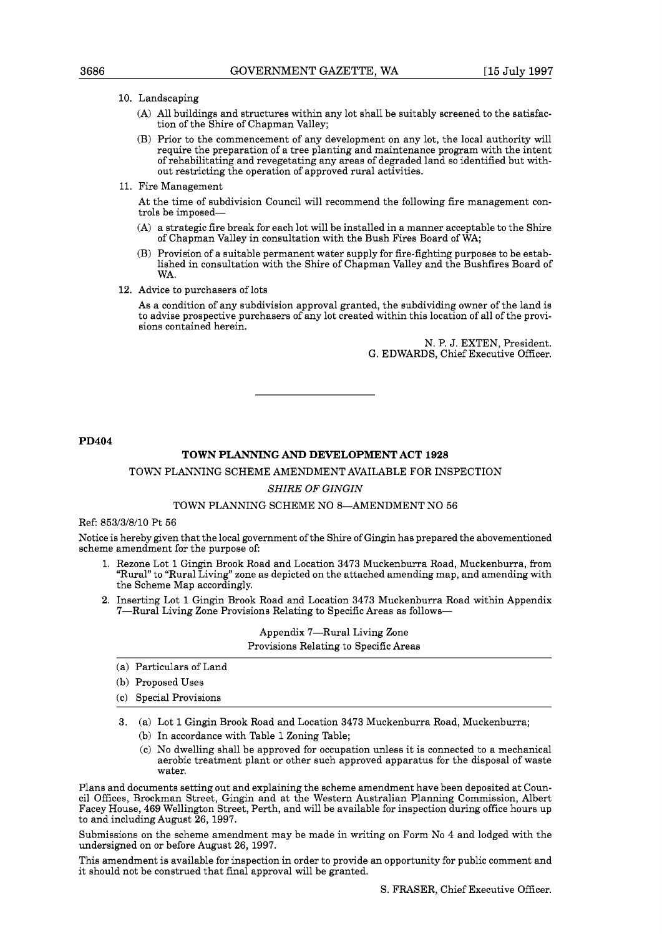## 10. Landscaping

- (A) All buildings and structures within any lot shall be suitably screened to the satisfaction of the Shire of Chapman Valley;
- (B) Prior to the commencement of any development on any lot, the local authority will require the preparation of a tree planting and maintenance program with the intent of rehabilitating and revegetating any areas of degraded land so identified but without restricting the operation of approved rural activities.
- 11. Fire Management

At the time of subdivision Council will recommend the following fire management controls be imposed-

- (A) a strategic fire break for each lot will be installed in a manner acceptable to the Shire of Chapman Valley in consultation with the Bush Fires Board of WA;
- (B) Provision of a suitable permanent water supply for fire-fighting purposes to be established in consultation with the Shire of Chapman Valley and the Bushfires Board of WA.
- 12. Advice to purchasers of lots

As a condition of any subdivision approval granted, the subdividing owner of the land is to advise prospective purchasers of any lot created within this location of all of the provisions contained herein.

> N. P. J. EXTEN, President. G. EDWARDS, Chief Executive Officer.

**PD404** 

## **TOWN PLANNING AND DEVELOPMENT ACT 1928**

## TOWN PLANNING SCHEME AMENDMENT AVAILABLE FOR INSPECTION

#### *SHIRE OF GINGIN*

#### TOWN PLANNING SCHEME NO 8-AMENDMENT NO 56

Ref: 853/3/8/10 Pt 56

Notice is hereby given that the local government of the Shire of Gingin has prepared the abovementioned scheme amendment for the purpose of:

- 1. Rezone Lot 1 Gingin Brook Road and Location 3473 Muckenburra Road, Muckenburra, from "Rural" to "Rural Living" zone as depicted on the attached amending map, and amending with the Scheme Map accordingly.
- 2. Inserting Lot 1 Gingin Brook Road and Location 3473 Muckenburra Road within Appendix 7-Rural Living Zone Provisions Relating to Specific Areas as follows-

Appendix 7-Rural Living Zone Provisions Relating to Specific Areas

- (a) Particulars of Land
- (b) Proposed Uses
- (c) Special Provisions
- 3. (a) Lot 1 Gingin Brook Road and Location 3473 Muckenburra Road, Muckenburra; (b) In accordance with Table 1 Zoning Table;
	- (c) No dwelling shall be approved for occupation unless it is connected to a mechanical aerobic treatment plant or other such approved apparatus for the disposal of waste water.

Plans and documents setting out and explaining the scheme amendment have been deposited at Council Offices, Brockman Street, Gingin and at the Western Australian Planning Commission, Albert Facey House, 469 Wellington Street, Perth, and will be available for inspection during office hours up to and including August 26, 1997.

Submissions on the scheme amendment may be made in writing on Form No 4 and lodged with the undersigned on or before August 26, 1997.

This amendment is available for inspection in order to provide an opportunity for public comment and it should not be construed that final approval will be granted.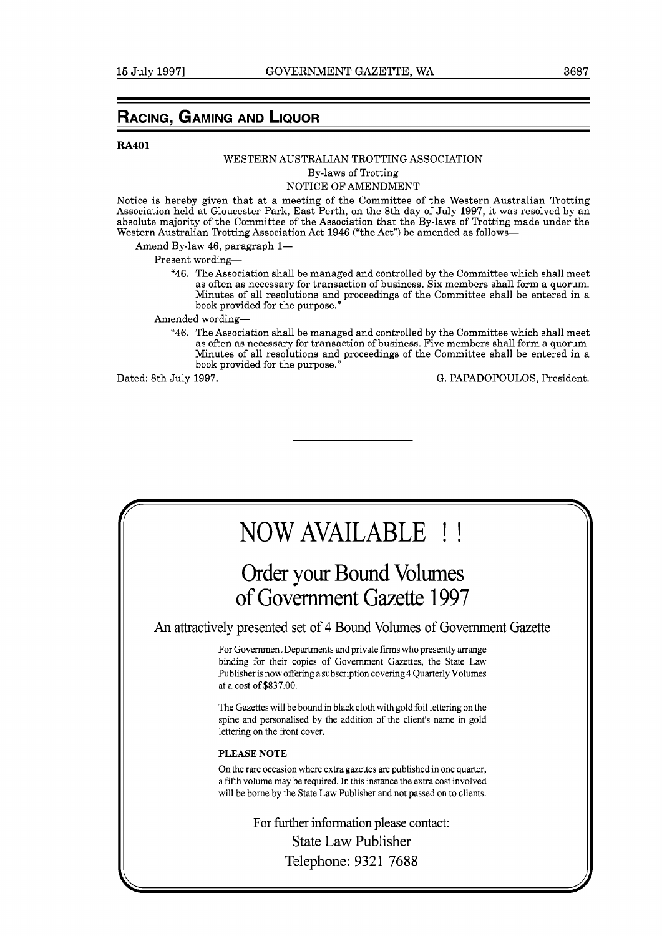## **RA401**

## WESTERN AUSTRALIAN TROTTING ASSOCIATION

By-laws of Trotting

## NOTICE OF AMENDMENT

Notice is hereby given that at a meeting of the Committee of the Western Australian Trotting Association held at Gloucester Park, East Perth, on the 8th day of July 1997, it was resolved by an absolute majority of the Committee of the Association that the By-laws of Trotting made under the Western Australian Trotting Association Act 1946 ("the Act") be amended as follows-

Amend By-law 46, paragraph 1-

Present wording-

"46. The Association shall be managed and controlled by the Committee which shall meet as often as necessary for transaction of business. Six members shall form a quorum. Minutes of all resolutions and proceedings of the Committee shall be entered in a book provided for the purpose."

Amended wording-

"46. The Association shall be managed and controlled by the Committee which shall meet as often as necessary for transaction of business. Five members shall form a quorum. Minutes of all resolutions and proceedings of the Committee shall be entered in a book provided for the purpose."

Dated: 8th July 1997. G. PAPADOPOULOS, President.

# NOW AVAILABLE ! !

## Order your Bound Volumes of Government Gazette 1997

An attractively presented set of 4 Bound Volumes of Government Gazette

For Government Departments and private firms who presently arrange binding for their copies of Government Gazettes, the State Law Publisher is now offering a subscription covering 4 Quarterly Volumes at a cost of **\$837.00.** 

The Gazettes will be bound in black cloth with gold foil lettering on the spine and personalised by the addition of the client's name in gold lettering on the front cover.

## **PLEASE NOTE**

On the rare occasion where extra gazettes are published in one quarter, a fifth volume may be required. In this instance the extra cost involved will be borne by the State Law Publisher and not passed on to clients.

> For further information please contact: State Law Publisher Telephone: 9321 7688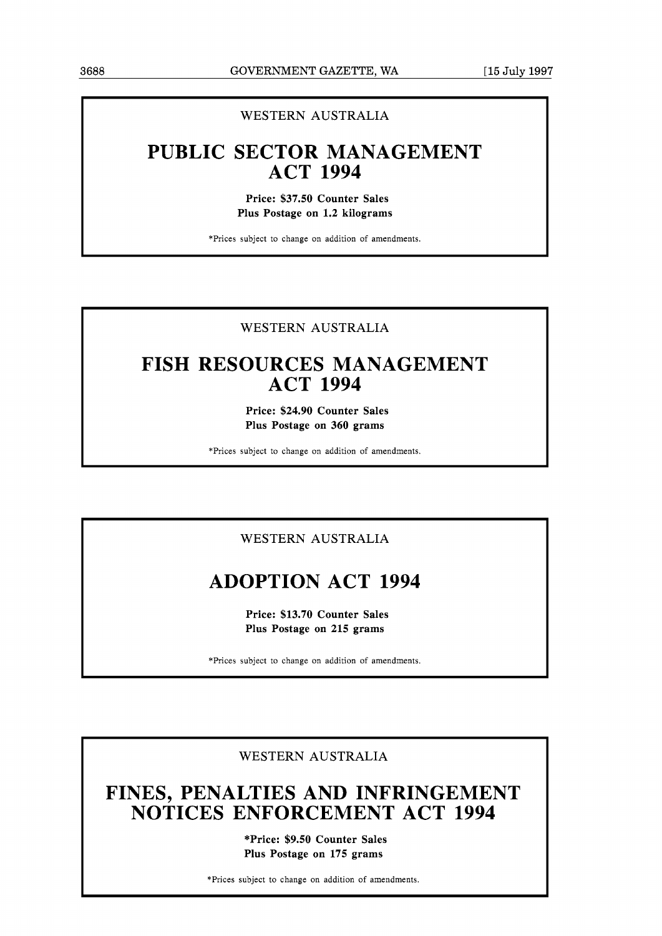## WESTERN AUSTRALIA

## **PUBLIC SECTOR MANAGEMENT ACT 1994**

**Price: \$37.50 Counter Sales Plus Postage on 1.2 kilograms** 

\*Prices subject to change on addition of amendments.

## WESTERN AUSTRALIA

## **FISH RESOURCES MANAGEMENT ACT 1994**

**Price: \$24.90 Counter Sales Plus Postage on 360 grams** 

\*Prices subject to change on addition of amendments.

## WESTERN AUSTRALIA

## **ADOPTION ACT 1994**

**Price: \$13.70 Counter Sales Plus Postage on 215 grams** 

\*Prices subject to change on addition of amendments.

## WESTERN AUSTRALIA

## **FINES, PENALTIES AND INFRINGEMENT NOTICES ENFORCEMENT ACT 1994**

**\*Price: \$9.50 Counter Sales Plus Postage on 175 grams** 

\*Prices subject to change on addition of amendments.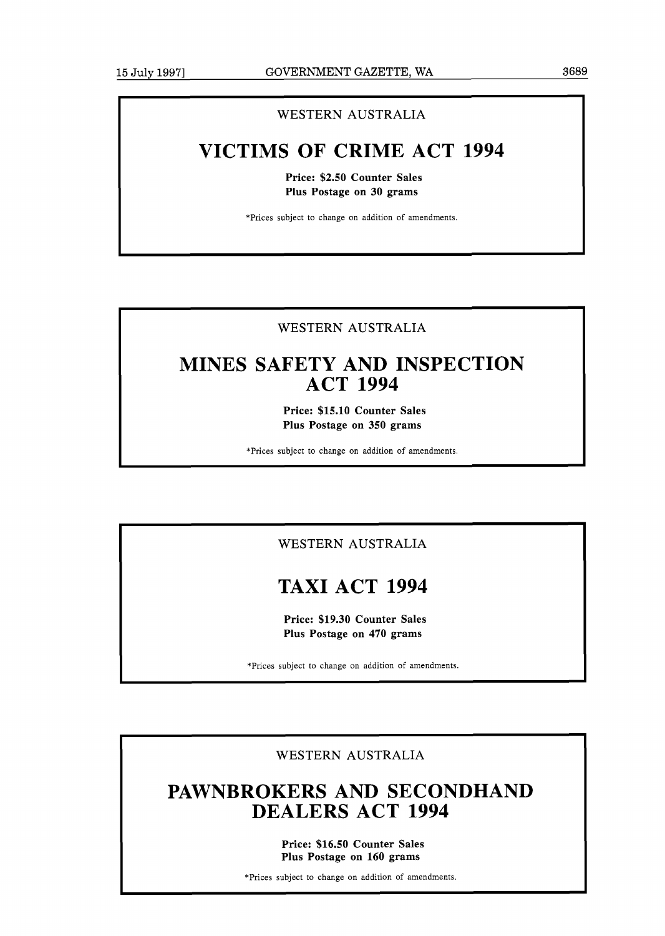## WESTERN AUSTRALIA

## **VICTIMS OF CRIME ACT 1994**

**Price: \$2.50 Counter Sales Plus Postage on 30 grams** 

\*Prices subject to change on addition of amendments.

## WESTERN AUSTRALIA

## **MINES SAFETY AND INSPECTION ACT 1994**

**Price: \$15.10 Counter Sales Plus Postage on 350 grams** 

\*Prices subject to change on addition of amendments.

## WESTERN AUSTRALIA

## **TAXI ACT 1994**

**Price: \$19.30 Counter Sales Plus Postage on 470 grams** 

\*Prices subject to change on addition of amendments.

WESTERN AUSTRALIA

## **PAWNBROKERS AND SECONDHAND DEALERS ACT 1994**

**Price: \$16.50 Counter Sales Plus Postage on 160 grams** 

\*Prices subject to change on addition of amendments.